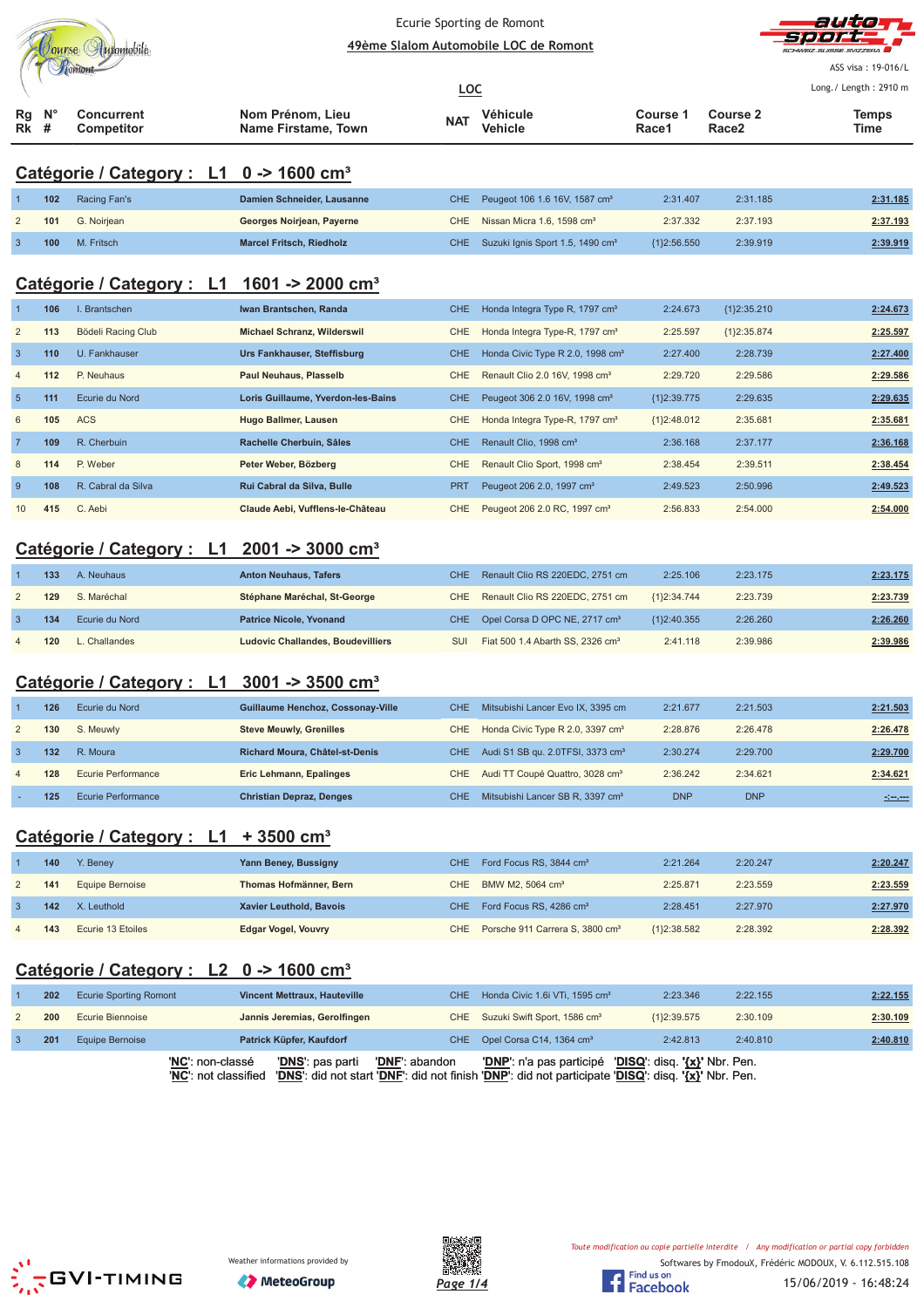|                | Jourse Automobile   |                                                             | Ecurie Sporting de Romont<br>49ème Slalom Automobile LOC de Romont                                                                                 | auto       |                                              |                                                       |                          |                       |
|----------------|---------------------|-------------------------------------------------------------|----------------------------------------------------------------------------------------------------------------------------------------------------|------------|----------------------------------------------|-------------------------------------------------------|--------------------------|-----------------------|
|                |                     |                                                             |                                                                                                                                                    |            |                                              |                                                       |                          | ASS visa: 19-016/L    |
|                |                     |                                                             |                                                                                                                                                    | <b>LOC</b> |                                              |                                                       |                          | Long./ Length: 2910 m |
| Rg<br>Rk       | N <sub>c</sub><br># | <b>Concurrent</b><br>Competitor                             | Nom Prénom, Lieu<br>Name Firstame, Town                                                                                                            | NAT        | Véhicule<br><b>Vehicle</b>                   | Course 1<br>Race1                                     | <b>Course 2</b><br>Race2 | Temps<br>Time         |
|                |                     |                                                             |                                                                                                                                                    |            |                                              |                                                       |                          |                       |
|                |                     | Catégorie / Category : L1 0 -> 1600 cm <sup>3</sup>         |                                                                                                                                                    |            |                                              |                                                       |                          |                       |
|                | 102                 | Racing Fan's                                                | Damien Schneider, Lausanne                                                                                                                         | <b>CHE</b> | Peugeot 106 1.6 16V, 1587 cm <sup>3</sup>    | 2:31.407                                              | 2:31.185                 | 2:31.185              |
| $\overline{c}$ | 101                 | G. Noirjean                                                 | Georges Noirjean, Payerne                                                                                                                          | CHE        | Nissan Micra 1.6, 1598 cm <sup>3</sup>       | 2:37.332                                              | 2:37.193                 | 2:37.193              |
| $\mathbf{3}$   | 100                 | M. Fritsch                                                  | <b>Marcel Fritsch, Riedholz</b>                                                                                                                    | <b>CHE</b> | Suzuki Ignis Sport 1.5, 1490 cm <sup>3</sup> | ${1}2:56.550$                                         | 2:39.919                 | 2:39.919              |
|                |                     | Catégorie / Category : L1                                   | 1601 -> 2000 cm <sup>3</sup>                                                                                                                       |            |                                              |                                                       |                          |                       |
|                | 106                 | I. Brantschen                                               | Iwan Brantschen, Randa                                                                                                                             | <b>CHE</b> | Honda Integra Type R, 1797 cm <sup>3</sup>   | 2:24.673                                              | {1}2:35.210              | 2:24.673              |
| $\overline{c}$ | 113                 | Bödeli Racing Club                                          | <b>Michael Schranz, Wilderswil</b>                                                                                                                 | CHE        | Honda Integra Type-R, 1797 cm <sup>3</sup>   | 2:25.597                                              | ${1}2:35.874$            | 2:25.597              |
| $\mathbf{3}$   | 110                 | U. Fankhauser                                               | Urs Fankhauser, Steffisburg                                                                                                                        | <b>CHE</b> | Honda Civic Type R 2.0, 1998 cm <sup>3</sup> | 2:27.400                                              | 2:28.739                 | 2:27.400              |
| $\overline{4}$ | 112                 | P. Neuhaus                                                  | <b>Paul Neuhaus, Plasselb</b>                                                                                                                      | CHE        | Renault Clio 2.0 16V, 1998 cm <sup>3</sup>   | 2:29.720                                              | 2:29.586                 | 2:29.586              |
| $\overline{5}$ | 111                 | Ecurie du Nord                                              | Loris Guillaume, Yverdon-les-Bains                                                                                                                 | <b>CHE</b> | Peugeot 306 2.0 16V, 1998 cm <sup>3</sup>    | ${1}2:39.775$                                         | 2:29.635                 | 2:29.635              |
| 6              | 105                 | <b>ACS</b>                                                  | <b>Hugo Ballmer, Lausen</b>                                                                                                                        | CHE        | Honda Integra Type-R, 1797 cm <sup>3</sup>   | ${1}2:48.012$                                         | 2:35.681                 | 2:35.681              |
| $\overline{7}$ | 109                 | R. Cherbuin                                                 | Rachelle Cherbuin, Sâles                                                                                                                           | <b>CHE</b> | Renault Clio, 1998 cm <sup>3</sup>           | 2:36.168                                              | 2:37.177                 | 2:36.168              |
| 8              | 114                 | P. Weber                                                    | Peter Weber, Bözberg                                                                                                                               | CHE        | Renault Clio Sport, 1998 cm <sup>3</sup>     | 2:38.454                                              | 2:39.511                 | 2:38.454              |
| $\overline{9}$ | 108                 | R. Cabral da Silva                                          | Rui Cabral da Silva, Bulle                                                                                                                         | <b>PRT</b> | Peugeot 206 2.0, 1997 cm <sup>3</sup>        | 2:49.523                                              | 2:50.996                 | 2:49.523              |
| 10             | 415                 | C. Aebi                                                     | Claude Aebi, Vufflens-le-Château                                                                                                                   | CHE        | Peugeot 206 2.0 RC, 1997 cm <sup>3</sup>     | 2:56.833                                              | 2:54.000                 | 2:54.000              |
|                |                     |                                                             |                                                                                                                                                    |            |                                              |                                                       |                          |                       |
|                |                     | Catégorie / Category : L1 2001 -> 3000 cm <sup>3</sup>      |                                                                                                                                                    |            |                                              |                                                       |                          |                       |
|                | 133                 | A. Neuhaus                                                  | <b>Anton Neuhaus, Tafers</b>                                                                                                                       | <b>CHE</b> | Renault Clio RS 220EDC, 2751 cm              | 2:25.106                                              | 2:23.175                 | 2:23.175              |
| $\overline{2}$ | 129                 | S. Maréchal                                                 | Stéphane Maréchal, St-George                                                                                                                       | CHE        | Renault Clio RS 220EDC, 2751 cm              | ${1}2:34.744$                                         | 2:23.739                 | 2:23.739              |
| $\overline{3}$ | 134                 | Ecurie du Nord                                              | <b>Patrice Nicole, Yvonand</b>                                                                                                                     | <b>CHE</b> | Opel Corsa D OPC NE, 2717 cm <sup>3</sup>    | ${1}2:40.355$                                         | 2:26.260                 | 2:26.260              |
| $\overline{4}$ | 120                 | L. Challandes                                               | <b>Ludovic Challandes, Boudevilliers</b>                                                                                                           | SUI        | Fiat 500 1.4 Abarth SS, 2326 cm <sup>3</sup> | 2:41.118                                              | 2:39.986                 | 2:39.986              |
|                |                     |                                                             |                                                                                                                                                    |            |                                              |                                                       |                          |                       |
|                |                     | Catégorie / Category : $\;$ L1 3001 -> 3500 cm <sup>3</sup> |                                                                                                                                                    |            |                                              |                                                       |                          |                       |
|                | 126                 | Ecurie du Nord                                              | Guillaume Henchoz, Cossonay-Ville                                                                                                                  | <b>CHE</b> | Mitsubishi Lancer Evo IX, 3395 cm            | 2:21.677                                              | 2:21.503                 | 2:21.503              |
| 2              | 130                 | S. Meuwly                                                   | <b>Steve Meuwly, Grenilles</b>                                                                                                                     | CHE        | Honda Civic Type R 2.0, 3397 cm <sup>3</sup> | 2:28.876                                              | 2:26.478                 | 2:26.478              |
| $\mathbf{3}$   | 132                 | R. Moura                                                    | Richard Moura, Châtel-st-Denis                                                                                                                     | <b>CHE</b> | Audi S1 SB qu. 2.0TFSI, 3373 cm <sup>3</sup> | 2:30.274                                              | 2:29.700                 | 2:29.700              |
| 4              | 128                 | <b>Ecurie Performance</b>                                   | Eric Lehmann, Epalinges                                                                                                                            | CHE        | Audi TT Coupé Quattro, 3028 cm <sup>3</sup>  | 2:36.242                                              | 2:34.621                 | 2:34.621              |
|                | 125                 | <b>Ecurie Performance</b>                                   | <b>Christian Depraz, Denges</b>                                                                                                                    | CHE        | Mitsubishi Lancer SB R, 3397 cm <sup>3</sup> | <b>DNP</b>                                            | <b>DNP</b>               | <u> 1000 - 100</u>    |
|                |                     |                                                             |                                                                                                                                                    |            |                                              |                                                       |                          |                       |
|                |                     | Catégorie / Category : L1                                   | $+3500$ cm <sup>3</sup>                                                                                                                            |            |                                              |                                                       |                          |                       |
|                | 140                 | Y. Beney                                                    | Yann Beney, Bussigny                                                                                                                               | <b>CHE</b> | Ford Focus RS, 3844 cm <sup>3</sup>          | 2:21.264                                              | 2:20.247                 | 2:20.247              |
| $\overline{c}$ | 141                 | Equipe Bernoise                                             | Thomas Hofmänner, Bern                                                                                                                             | CHE        | BMW M2, 5064 cm <sup>3</sup>                 | 2:25.871                                              | 2:23.559                 | 2:23.559              |
| 3              | 142                 | X. Leuthold                                                 | Xavier Leuthold, Bavois                                                                                                                            | <b>CHE</b> | Ford Focus RS, 4286 cm <sup>3</sup>          | 2:28.451                                              | 2:27.970                 | 2:27.970              |
| $\overline{4}$ | 143                 | Ecurie 13 Etoiles                                           | <b>Edgar Vogel, Vouvry</b>                                                                                                                         | <b>CHE</b> | Porsche 911 Carrera S, 3800 cm <sup>3</sup>  | ${1}2:38.582$                                         | 2:28.392                 | 2:28.392              |
|                |                     | Catégorie / Category : L2 0 -> 1600 cm <sup>3</sup>         |                                                                                                                                                    |            |                                              |                                                       |                          |                       |
|                |                     |                                                             |                                                                                                                                                    |            |                                              |                                                       |                          |                       |
|                | 202<br>200          | <b>Ecurie Sporting Romont</b><br><b>Ecurie Biennoise</b>    | <b>Vincent Mettraux, Hauteville</b>                                                                                                                | <b>CHE</b> | Honda Civic 1.6i VTi, 1595 cm <sup>3</sup>   | 2:23.346                                              | 2:22.155<br>2:30.109     | 2:22.155              |
| 2              |                     |                                                             | Jannis Jeremias, Gerolfingen                                                                                                                       | CHE        | Suzuki Swift Sport, 1586 cm <sup>3</sup>     | ${1}2:39.575$                                         |                          | 2:30.109              |
| 3              | 201                 | Equipe Bernoise<br>'NC': non-classé                         | Patrick Küpfer, Kaufdorf                                                                                                                           | <b>CHE</b> | Opel Corsa C14, 1364 cm <sup>3</sup>         | 2:42.813                                              | 2:40.810                 | 2:40.810              |
|                |                     | 'NC': not classified                                        | 'DNF': abandon<br>' <u>DNS</u> ': pas parti<br>'DNS': did not start 'DNF': did not finish 'DNP': did not participate 'DISQ': disq. '{x}' Nbr. Pen. |            | ' <u>DNP</u> ': n'a pas participé            | ' <mark>DISQ</mark> ': disq. ' <u>{x}</u> ' Nbr. Pen. |                          |                       |





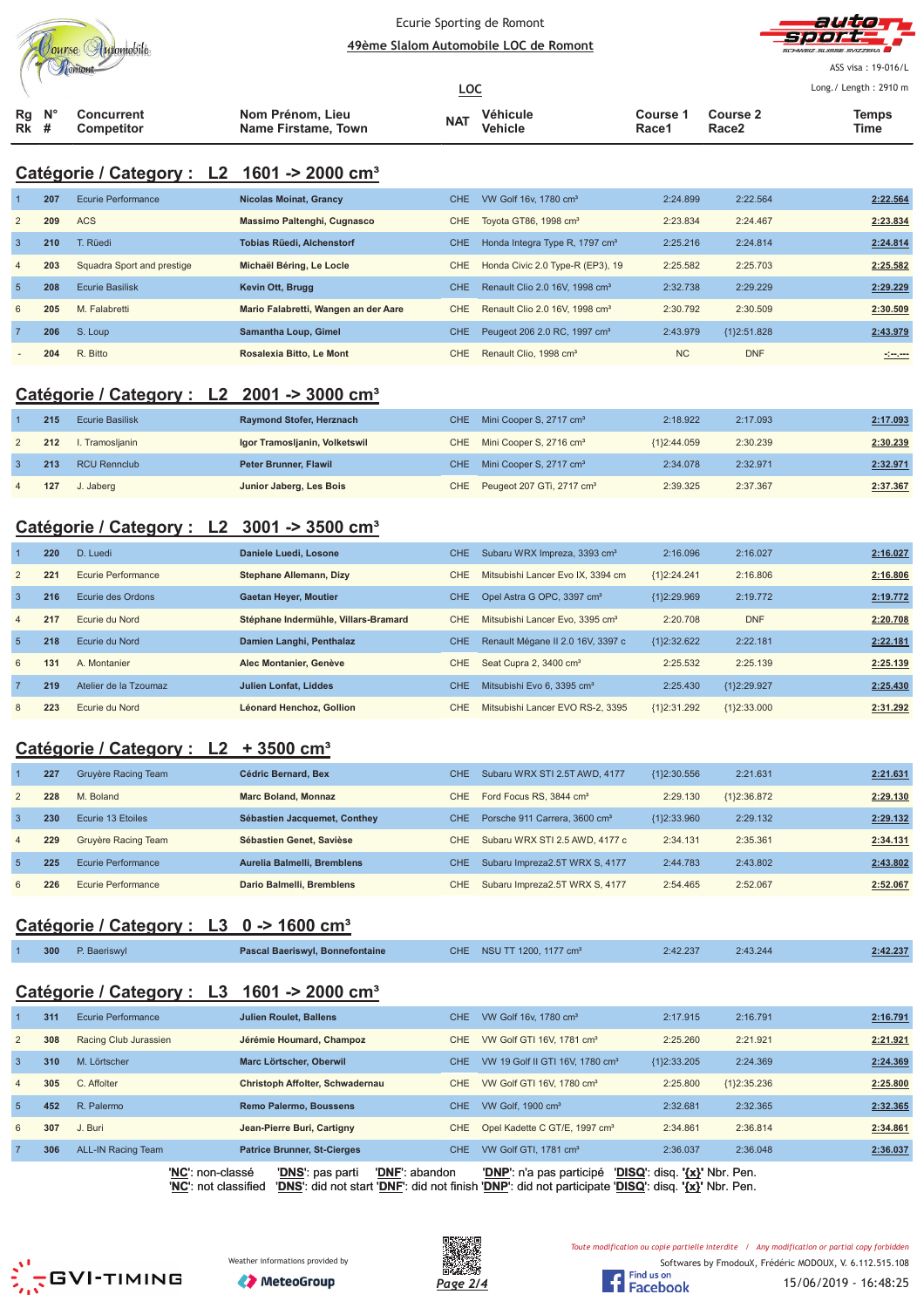



ASS visa: 19-016/L Lo  $(1 \text{ month} \cdot 7910 \text{ m})$ 

|                                 |  |                          |                                         | <u>LOC</u> |                     |                   | Long. $/$ Length : 2910 n |               |  |
|---------------------------------|--|--------------------------|-----------------------------------------|------------|---------------------|-------------------|---------------------------|---------------|--|
| $Rq$ $N^{\circ}$<br><b>Rk</b> # |  | Concurrent<br>Competitor | Nom Prénom, Lieu<br>Name Firstame, Town | <b>NAT</b> | Véhicule<br>Vehicle | Course 1<br>Race1 | <b>Course 2</b><br>Race2  | Temps<br>Time |  |

# **Catégorie / Category : L2 1601 -> 2000 cm³**

|                | 207 | Ecurie Performance         | <b>Nicolas Moinat, Grancy</b>        | CHE.       | VW Golf 16v, 1780 cm <sup>3</sup>          | 2:24.899  | 2:22.564      | 2:22.564      |
|----------------|-----|----------------------------|--------------------------------------|------------|--------------------------------------------|-----------|---------------|---------------|
| 2              | 209 | <b>ACS</b>                 | Massimo Paltenghi, Cugnasco          | CHE.       | Tovota GT86, 1998 cm <sup>3</sup>          | 2:23.834  | 2:24.467      | 2:23.834      |
| 3              | 210 | T. Rüedi                   | <b>Tobias Rüedi, Alchenstorf</b>     | <b>CHE</b> | Honda Integra Type R, 1797 cm <sup>3</sup> | 2:25.216  | 2:24.814      | 2:24.814      |
| $\overline{4}$ | 203 | Squadra Sport and prestige | Michaël Béring, Le Locle             | <b>CHE</b> | Honda Civic 2.0 Type-R (EP3), 19           | 2:25.582  | 2:25.703      | 2:25.582      |
| $\overline{5}$ | 208 | <b>Ecurie Basilisk</b>     | Kevin Ott, Brugg                     | <b>CHE</b> | Renault Clio 2.0 16V, 1998 cm <sup>3</sup> | 2:32.738  | 2:29.229      | 2:29.229      |
| 6              | 205 | M. Falabretti              | Mario Falabretti, Wangen an der Aare | CHE.       | Renault Clio 2.0 16V, 1998 cm <sup>3</sup> | 2:30.792  | 2:30.509      | 2:30.509      |
|                | 206 | S. Loup                    | Samantha Loup, Gimel                 | CHE.       | Peugeot 206 2.0 RC, 1997 cm <sup>3</sup>   | 2:43.979  | ${1}2:51.828$ | 2:43.979      |
|                | 204 | R. Bitto                   | Rosalexia Bitto, Le Mont             | CHE        | Renault Clio, 1998 cm <sup>3</sup>         | <b>NC</b> | <b>DNF</b>    | <u>simens</u> |

## **Catégorie / Category : L2 2001 -> 3000 cm³**

| 215 | <b>Ecurie Basilisk</b> | Raymond Stofer, Herznach      | CHE Mini Cooper S, 2717 cm <sup>3</sup>   | 2:18.922      | 2:17.093 | 2:17.093 |
|-----|------------------------|-------------------------------|-------------------------------------------|---------------|----------|----------|
| 212 | I. Tramoslianin        | Igor Tramosljanin, Volketswil | CHE Mini Cooper S, 2716 cm <sup>3</sup>   | ${1}2:44.059$ | 2:30.239 | 2:30.239 |
| 213 | <b>RCU Rennclub</b>    | Peter Brunner, Flawil         | CHE Mini Cooper S, 2717 cm <sup>3</sup>   | 2:34.078      | 2:32.971 | 2:32.971 |
| 127 | J. Jaberg              | Junior Jaberg, Les Bois       | CHE Peugeot 207 GTi, 2717 cm <sup>3</sup> | 2:39.325      | 2:37.367 | 2:37.367 |

## **Catégorie / Category : L2 3001 -> 3500 cm³**

|                | 220 | D. Luedi              | Daniele Luedi, Losone                | <b>CHE</b> | Subaru WRX Impreza, 3393 cm <sup>3</sup>    | 2:16.096      | 2:16.027    | 2:16.027 |
|----------------|-----|-----------------------|--------------------------------------|------------|---------------------------------------------|---------------|-------------|----------|
| 2              | 221 | Ecurie Performance    | Stephane Allemann, Dizy              | <b>CHE</b> | Mitsubishi Lancer Evo IX, 3394 cm           | ${1}2:24.241$ | 2:16.806    | 2:16.806 |
| $\cdot$ 3      | 216 | Ecurie des Ordons     | <b>Gaetan Heyer, Moutier</b>         | CHE.       | Opel Astra G OPC, 3397 cm <sup>3</sup>      | ${12:29.969}$ | 2:19.772    | 2:19.772 |
| $\overline{4}$ | 217 | Ecurie du Nord        | Stéphane Indermühle, Villars-Bramard | <b>CHE</b> | Mitsubishi Lancer Evo. 3395 cm <sup>3</sup> | 2:20.708      | <b>DNF</b>  | 2:20.708 |
| -5             | 218 | Ecurie du Nord        | Damien Langhi, Penthalaz             | <b>CHE</b> | Renault Mégane II 2.0 16V, 3397 c           | {1}2:32.622   | 2:22.181    | 2:22.181 |
| 6              | 131 | A. Montanier          | Alec Montanier, Genève               | CHE.       | Seat Cupra 2, 3400 cm <sup>3</sup>          | 2:25.532      | 2:25.139    | 2:25.139 |
|                | 219 | Atelier de la Tzoumaz | Julien Lonfat, Liddes                | <b>CHE</b> | Mitsubishi Evo 6, 3395 cm <sup>3</sup>      | 2:25.430      | {1}2:29.927 | 2:25.430 |
| 8              | 223 | Ecurie du Nord        | Léonard Henchoz, Gollion             | <b>CHE</b> | Mitsubishi Lancer EVO RS-2, 3395            | {1}2:31.292   | {1}2:33.000 | 2:31.292 |

## **Catégorie / Category : L2 + 3500 cm³**

|                | 227 | Gruyère Racing Team | Cédric Bernard, Bex          | CHE. | Subaru WRX STI 2.5T AWD, 4177             | ${1}2:30.556$ | 2:21.631      | 2:21.631 |
|----------------|-----|---------------------|------------------------------|------|-------------------------------------------|---------------|---------------|----------|
| 2              | 228 | M. Boland           | <b>Marc Boland, Monnaz</b>   | CHE  | Ford Focus RS, 3844 cm <sup>3</sup>       | 2:29.130      | ${1}2:36.872$ | 2:29.130 |
| 3              | 230 | Ecurie 13 Etoiles   | Sébastien Jacquemet, Conthey | CHE. | Porsche 911 Carrera, 3600 cm <sup>3</sup> | ${1}2:33.960$ | 2:29.132      | 2:29.132 |
| $\overline{4}$ | 229 | Gruyère Racing Team | Sébastien Genet, Savièse     | CHE  | Subaru WRX STI 2.5 AWD, 4177 c            | 2:34.131      | 2:35.361      | 2:34.131 |
| $\overline{5}$ | 225 | Ecurie Performance  | Aurelia Balmelli, Bremblens  | CHE. | Subaru Impreza2.5T WRX S, 4177            | 2:44.783      | 2:43.802      | 2:43.802 |
| 6              | 226 | Ecurie Performance  | Dario Balmelli, Bremblens    | CHE  | Subaru Impreza2.5T WRX S, 4177            | 2:54.465      | 2:52.067      | 2:52.067 |

#### **Catégorie / Category : L3 0 -> 1600 cm³**

| 300 | P. Baeriswyl<br>$\mathcal{L}^{\text{max}}_{\text{max}}$ and $\mathcal{L}^{\text{max}}_{\text{max}}$ and $\mathcal{L}^{\text{max}}_{\text{max}}$ | Pascal Baeriswyl, Bonnefontaine | CHE NSU TT 1200, 1177 cm <sup>3</sup> | 2:42.237<br>$\mathcal{L}^{\text{max}}_{\text{max}}$ and $\mathcal{L}^{\text{max}}_{\text{max}}$ and $\mathcal{L}^{\text{max}}_{\text{max}}$ and $\mathcal{L}^{\text{max}}_{\text{max}}$ | 2:43.244<br>the contract of the contract of the | 2:42.237 |
|-----|-------------------------------------------------------------------------------------------------------------------------------------------------|---------------------------------|---------------------------------------|-----------------------------------------------------------------------------------------------------------------------------------------------------------------------------------------|-------------------------------------------------|----------|
|     |                                                                                                                                                 |                                 |                                       |                                                                                                                                                                                         |                                                 |          |

#### **Catégorie / Category : L3 1601 -> 2000 cm³**

|                | 311 | <b>Ecurie Performance</b> | <b>Julien Roulet, Ballens</b>          | CHE.       | VW Golf 16v, 1780 cm <sup>3</sup>           | 2:17.915                      | 2:16.791    | 2:16.791 |
|----------------|-----|---------------------------|----------------------------------------|------------|---------------------------------------------|-------------------------------|-------------|----------|
| $\overline{2}$ | 308 | Racing Club Jurassien     | Jérémie Houmard, Champoz               | CHE.       | VW Golf GTI 16V, 1781 cm <sup>3</sup>       | 2:25.260                      | 2:21.921    | 2:21.921 |
| 3              | 310 | M. Lörtscher              | Marc Lörtscher, Oberwil                | <b>CHE</b> | VW 19 Golf II GTI 16V, 1780 cm <sup>3</sup> | ${1}2:33.205$                 | 2:24.369    | 2:24.369 |
| $\overline{4}$ | 305 | C. Affolter               | <b>Christoph Affolter, Schwadernau</b> | CHE.       | VW Golf GTI 16V, 1780 cm <sup>3</sup>       | 2:25.800                      | {1}2:35.236 | 2:25.800 |
| $\sqrt{5}$     | 452 | R. Palermo                | <b>Remo Palermo, Boussens</b>          | CHE.       | VW Golf, $1900 \text{ cm}^3$                | 2:32.681                      | 2:32.365    | 2:32.365 |
| 6              | 307 | J. Buri                   | Jean-Pierre Buri, Cartigny             | CHE.       | Opel Kadette C GT/E, 1997 cm <sup>3</sup>   | 2:34.861                      | 2:36.814    | 2:34.861 |
|                | 306 | <b>ALL-IN Racing Team</b> | <b>Patrice Brunner, St-Cierges</b>     | CHE.       | VW Golf GTI, 1781 cm <sup>3</sup>           | 2:36.037                      | 2:36.048    | 2:36.037 |
|                |     | 'NC': non-classé          | 'DNF': abandon<br>'DNS': pas parti     |            | 'DNP': n'a pas participé                    | 'DISQ': disq. '{x}' Nbr. Pen. |             |          |









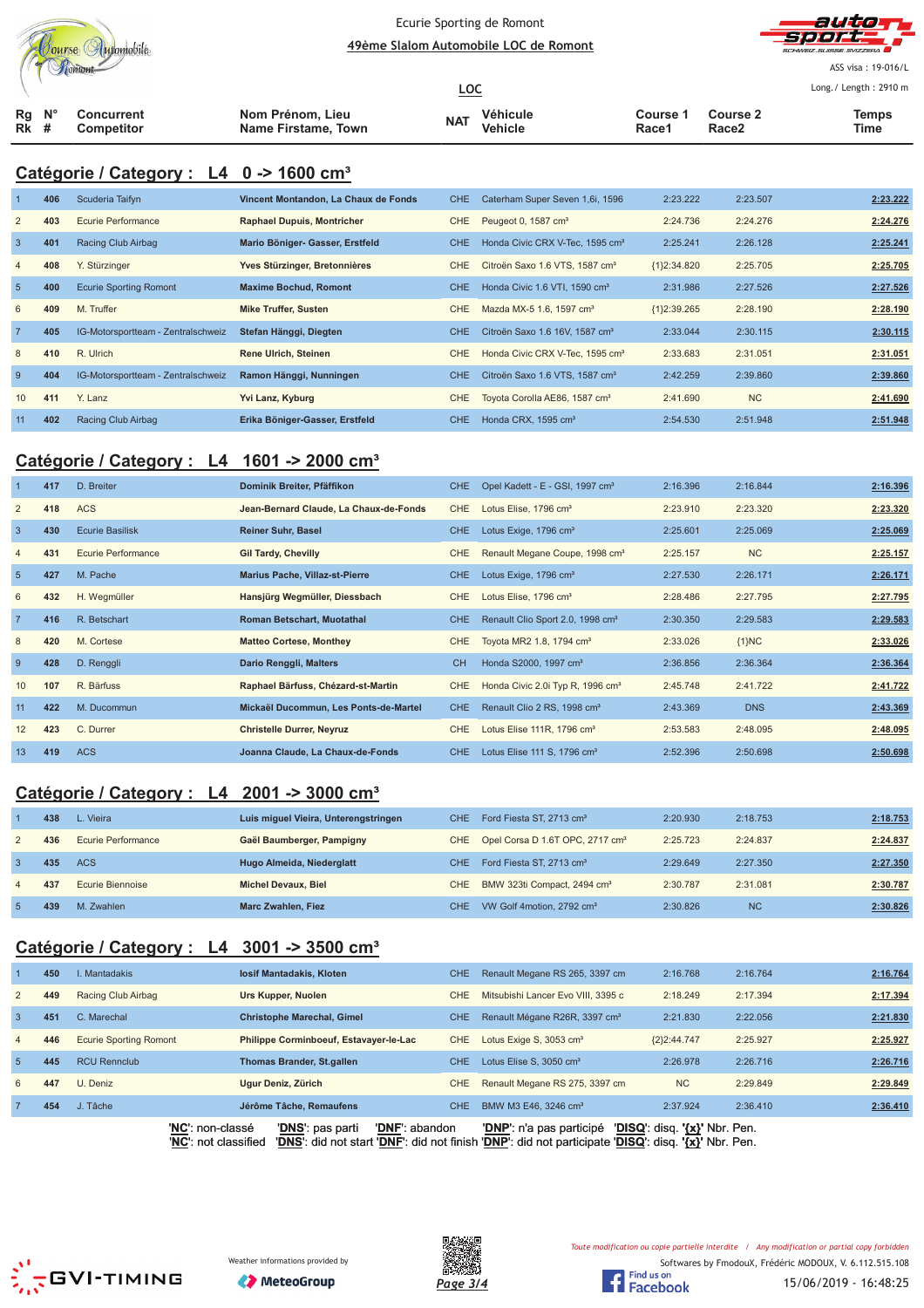|    | ourse Automobile<br>ontont |  |
|----|----------------------------|--|
| Rα | Concurrent                 |  |

#### Ecurie Sporting de Romont <u> **49ème Slalom Automobile LOC de Romont**</u>



ASS visa: 19-016/L Lo ng./ Length: 2910 m

|                                 |  |                                 |                                         | <u>LOC</u> |                     |                   |                                      | Long./ Length: 2910 m |
|---------------------------------|--|---------------------------------|-----------------------------------------|------------|---------------------|-------------------|--------------------------------------|-----------------------|
| $Rq$ $N^{\circ}$<br><b>Rk</b> # |  | Concurrent<br><b>Competitor</b> | Nom Prénom, Lieu<br>Name Firstame, Town | <b>NAT</b> | Véhicule<br>Vehicle | Course 1<br>Race1 | <b>Course 2</b><br>Race <sub>2</sub> | <b>Temps</b><br>Time  |

## **Catégorie / Category : L4 0 -> 1600 cm³**

|                 | 406 | Scuderia Taifyn                    | Vincent Montandon, La Chaux de Fonds | <b>CHE</b> | Caterham Super Seven 1,6i, 1596             | 2:23.222      | 2:23.507  | 2:23.222 |
|-----------------|-----|------------------------------------|--------------------------------------|------------|---------------------------------------------|---------------|-----------|----------|
| 2               | 403 | Ecurie Performance                 | <b>Raphael Dupuis, Montricher</b>    | CHE.       | Peugeot 0, 1587 cm <sup>3</sup>             | 2:24.736      | 2:24.276  | 2:24.276 |
| $\mathbf{3}$    | 401 | Racing Club Airbag                 | Mario Böniger- Gasser, Erstfeld      | CHE        | Honda Civic CRX V-Tec, 1595 cm <sup>3</sup> | 2:25.241      | 2:26.128  | 2:25.241 |
| $\overline{4}$  | 408 | Y. Stürzinger                      | Yves Stürzinger, Bretonnières        | CHE.       | Citroën Saxo 1.6 VTS, 1587 cm <sup>3</sup>  | ${1}2:34.820$ | 2:25.705  | 2:25.705 |
| $5\overline{5}$ | 400 | <b>Ecurie Sporting Romont</b>      | <b>Maxime Bochud, Romont</b>         | <b>CHE</b> | Honda Civic 1.6 VTI, 1590 cm <sup>3</sup>   | 2:31.986      | 2:27.526  | 2:27.526 |
| 6               | 409 | M. Truffer                         | <b>Mike Truffer, Susten</b>          | CHE        | Mazda MX-5 1.6, 1597 cm <sup>3</sup>        | ${1}2:39.265$ | 2:28.190  | 2:28.190 |
| $\overline{7}$  | 405 | IG-Motorsportteam - Zentralschweiz | Stefan Hänggi, Diegten               | CHE        | Citroën Saxo 1.6 16V, 1587 cm <sup>3</sup>  | 2:33.044      | 2:30.115  | 2:30.115 |
| 8               | 410 | R. Ulrich                          | <b>Rene Ulrich, Steinen</b>          | <b>CHE</b> | Honda Civic CRX V-Tec. 1595 cm <sup>3</sup> | 2:33.683      | 2:31.051  | 2:31.051 |
| -9              | 404 | IG-Motorsportteam - Zentralschweiz | Ramon Hänggi, Nunningen              | CHE.       | Citroën Saxo 1.6 VTS, 1587 cm <sup>3</sup>  | 2:42.259      | 2:39.860  | 2:39.860 |
| 10              | 411 | Y. Lanz                            | Yvi Lanz, Kyburg                     | CHE        | Toyota Corolla AE86, 1587 cm <sup>3</sup>   | 2:41.690      | <b>NC</b> | 2:41.690 |
| 11              | 402 | Racing Club Airbag                 | Erika Böniger-Gasser, Erstfeld       | CHE.       | Honda CRX, 1595 cm <sup>3</sup>             | 2:54.530      | 2:51.948  | 2:51.948 |

#### **Catégorie / Category : L4 1601 -> 2000 cm³**

|                | 417 | D. Breiter             | Dominik Breiter, Pfäffikon             | <b>CHE</b> | Opel Kadett - E - GSI, 1997 cm <sup>3</sup>  | 2:16.396 | 2:16.844   | 2:16.396 |
|----------------|-----|------------------------|----------------------------------------|------------|----------------------------------------------|----------|------------|----------|
| $\overline{2}$ | 418 | <b>ACS</b>             | Jean-Bernard Claude, La Chaux-de-Fonds | CHE        | Lotus Elise, 1796 cm <sup>3</sup>            | 2:23.910 | 2:23.320   | 2:23.320 |
| $\overline{3}$ | 430 | <b>Ecurie Basilisk</b> | <b>Reiner Suhr, Basel</b>              | <b>CHE</b> | Lotus Exige, 1796 cm <sup>3</sup>            | 2:25.601 | 2:25.069   | 2:25.069 |
| $\overline{4}$ | 431 | Ecurie Performance     | <b>Gil Tardy, Chevilly</b>             | <b>CHE</b> | Renault Megane Coupe, 1998 cm <sup>3</sup>   | 2:25.157 | <b>NC</b>  | 2:25.157 |
| $5\phantom{1}$ | 427 | M. Pache               | <b>Marius Pache, Villaz-st-Pierre</b>  | CHE.       | Lotus Exige, 1796 cm <sup>3</sup>            | 2:27.530 | 2:26.171   | 2:26.171 |
| 6              | 432 | H. Wegmüller           | Hansjürg Wegmüller, Diessbach          | <b>CHE</b> | Lotus Elise, 1796 cm <sup>3</sup>            | 2:28.486 | 2:27.795   | 2:27.795 |
| $\overline{7}$ | 416 | R. Betschart           | <b>Roman Betschart, Muotathal</b>      | CHE.       | Renault Clio Sport 2.0, 1998 cm <sup>3</sup> | 2:30.350 | 2:29.583   | 2:29.583 |
| 8              | 420 | M. Cortese             | <b>Matteo Cortese, Monthey</b>         | CHE        | Toyota MR2 1.8, 1794 cm <sup>3</sup>         | 2:33.026 | ${1}NC$    | 2:33.026 |
| -9             | 428 | D. Renggli             | Dario Renggli, Malters                 | <b>CH</b>  | Honda S2000, 1997 cm <sup>3</sup>            | 2:36.856 | 2:36.364   | 2:36.364 |
| 10             | 107 | R. Bärfuss             | Raphael Bärfuss, Chézard-st-Martin     | <b>CHE</b> | Honda Civic 2.0i Typ R, 1996 cm <sup>3</sup> | 2:45.748 | 2:41.722   | 2:41.722 |
| 11             | 422 | M. Ducommun            | Mickaël Ducommun, Les Ponts-de-Martel  | CHE        | Renault Clio 2 RS, 1998 cm <sup>3</sup>      | 2:43.369 | <b>DNS</b> | 2:43.369 |
| 12             | 423 | C. Durrer              | <b>Christelle Durrer, Neyruz</b>       | CHE        | Lotus Elise 111R, 1796 cm <sup>3</sup>       | 2:53.583 | 2:48.095   | 2:48.095 |
| 13             | 419 | <b>ACS</b>             | Joanna Claude, La Chaux-de-Fonds       | CHE.       | Lotus Elise 111 S, 1796 cm <sup>3</sup>      | 2:52.396 | 2:50.698   | 2:50.698 |

## **Catégorie / Category : L4 2001 -> 3000 cm³**

|   | 438 | L. Vieira          | Luis miguel Vieira, Unterengstringen | CHE. | Ford Fiesta ST, 2713 cm <sup>3</sup>            | 2:20.930 | 2:18.753  | 2:18.753 |
|---|-----|--------------------|--------------------------------------|------|-------------------------------------------------|----------|-----------|----------|
| 2 | 436 | Ecurie Performance | Gaël Baumberger, Pampigny            |      | CHE Opel Corsa D 1.6T OPC, 2717 cm <sup>3</sup> | 2:25.723 | 2:24.837  | 2:24.837 |
|   | 435 | <b>ACS</b>         | Hugo Almeida, Niederglatt            | CHE. | Ford Fiesta ST, 2713 cm <sup>3</sup>            | 2:29.649 | 2:27.350  | 2:27.350 |
| 4 | 437 | Ecurie Biennoise   | <b>Michel Devaux, Biel</b>           | CHE  | BMW 323ti Compact, 2494 cm <sup>3</sup>         | 2:30.787 | 2:31.081  | 2:30.787 |
|   | 439 | M. Zwahlen         | Marc Zwahlen, Fiez                   | CHE. | VW Golf 4motion, 2792 cm <sup>3</sup>           | 2:30.826 | <b>NC</b> | 2:30.826 |

## **Catégorie / Category : L4 3001 -> 3500 cm³**

|                | 450 | I. Mantadakis                 | <b>losif Mantadakis, Kloten</b>        | CHE        | Renault Megane RS 265, 3397 cm            | 2:16.768      | 2:16.764 | 2:16.764 |
|----------------|-----|-------------------------------|----------------------------------------|------------|-------------------------------------------|---------------|----------|----------|
| $\overline{2}$ | 449 | Racing Club Airbag            | Urs Kupper, Nuolen                     | CHE        | Mitsubishi Lancer Evo VIII, 3395 c        | 2:18.249      | 2:17.394 | 2:17.394 |
| 3              | 451 | C. Marechal                   | <b>Christophe Marechal, Gimel</b>      | CHE        | Renault Mégane R26R, 3397 cm <sup>3</sup> | 2:21.830      | 2:22.056 | 2:21.830 |
| $\overline{4}$ | 446 | <b>Ecurie Sporting Romont</b> | Philippe Corminboeuf, Estavayer-le-Lac | CHE        | Lotus Exige S, 3053 cm <sup>3</sup>       | ${2}2:44.747$ | 2:25.927 | 2:25.927 |
| 5 <sup>5</sup> | 445 | <b>RCU Rennclub</b>           | <b>Thomas Brander, St.gallen</b>       | CHE        | Lotus Elise S, 3050 cm <sup>3</sup>       | 2:26.978      | 2:26.716 | 2:26.716 |
| 6              | 447 | U. Deniz                      | Ugur Deniz, Zürich                     | <b>CHE</b> | Renault Megane RS 275, 3397 cm            | <b>NC</b>     | 2:29.849 | 2:29.849 |
|                | 454 | Tâche                         | Jérôme Tâche, Remaufens                | <b>CHE</b> | BMW M3 E46, 3246 cm <sup>3</sup>          | 2:37.924      | 2:36.410 | 2:36.410 |
|                |     | $\cdots$                      | $\cdots$                               |            | $\sim$ $\sim$ $\sim$ $\sim$ $\sim$<br>.   |               |          |          |

'**NC**': non-classé '**DNS**': pas parti '**DNF**': abandon '**DNP**': n'a pas participé '**DISQ**': disq. **'{x}'** Nbr. Pen. '**NC**': not classified '**DNS**': did not start '**DNF**': did not finish '**DNP**': did not participate '**DISQ**': disq. **'{x}'** Nbr. Pen.







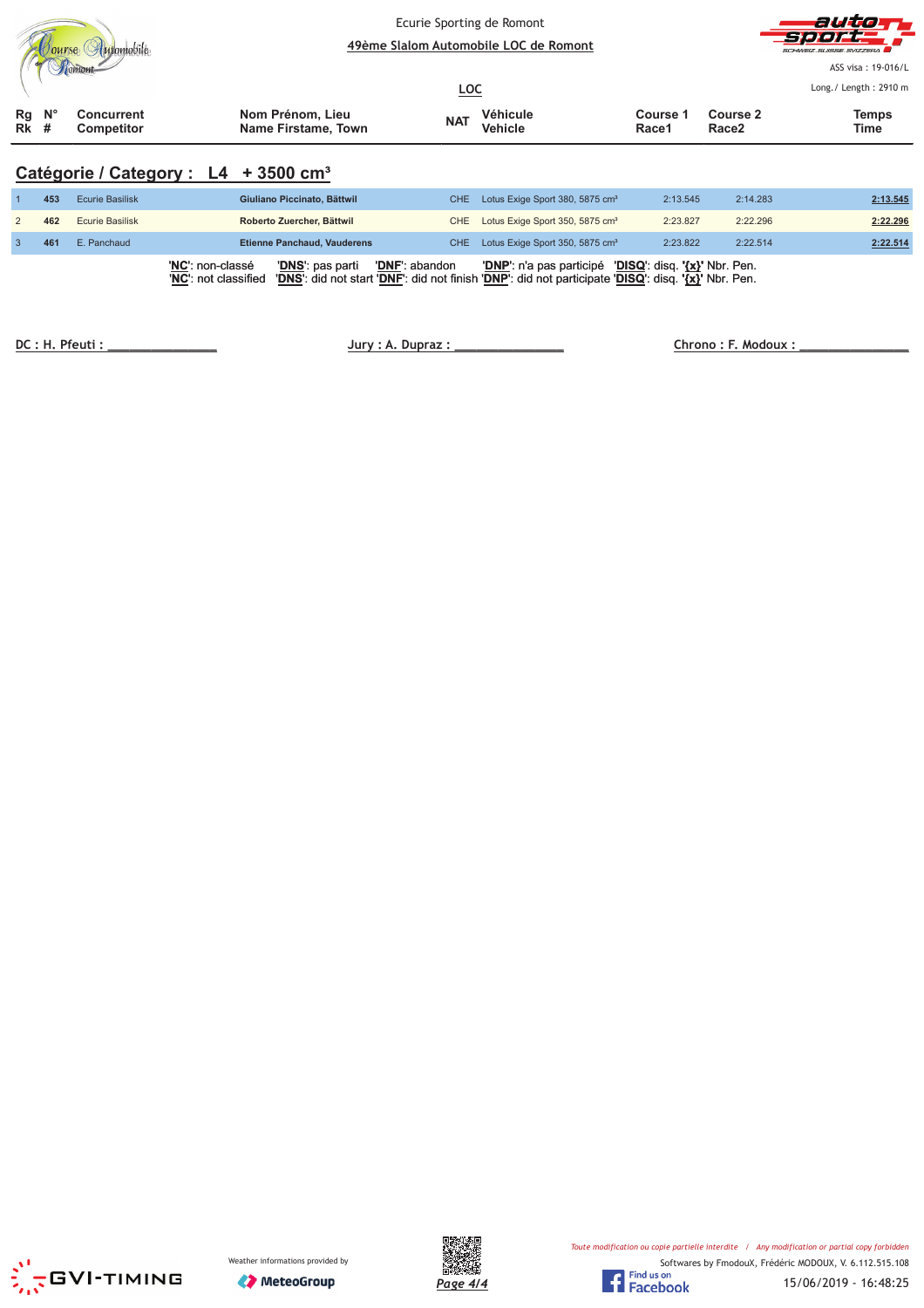|                             |                                                  |                                         |            | Ecurie Sporting de Romont<br>49ème Slalom Automobile LOC de Romont |                   |                               | auto<br>seert<br>SCHWEIZ SUISSE SVIZZERA    |  |
|-----------------------------|--------------------------------------------------|-----------------------------------------|------------|--------------------------------------------------------------------|-------------------|-------------------------------|---------------------------------------------|--|
|                             |                                                  |                                         | <u>LOC</u> |                                                                    |                   |                               | ASS visa: 19-016/L<br>Long./ Length: 2910 m |  |
| $N^{\circ}$<br>Rg<br>$Rk$ # | <b>Concurrent</b><br>Competitor                  | Nom Prénom, Lieu<br>Name Firstame, Town | <b>NAT</b> | Véhicule<br><b>Vehicle</b>                                         | Course 1<br>Race1 | Course 2<br>Race <sub>2</sub> | <b>Temps</b><br>Time                        |  |
|                             | Catégorie / Category : L4 + 3500 cm <sup>3</sup> |                                         |            |                                                                    |                   |                               |                                             |  |

| 453 | <b>Ecurie Basilisk</b> | Giuliano Piccinato, Bättwil                                                           | CHE Lotus Exige Sport 380, 5875 cm <sup>3</sup>                                                                                                               | 2:13.545 | 2:14.283 | 2:13.545 |
|-----|------------------------|---------------------------------------------------------------------------------------|---------------------------------------------------------------------------------------------------------------------------------------------------------------|----------|----------|----------|
| 462 | <b>Ecurie Basilisk</b> | Roberto Zuercher, Bättwil                                                             | CHE Lotus Exige Sport 350, 5875 cm <sup>3</sup>                                                                                                               | 2:23.827 | 2:22.296 | 2:22.296 |
| 461 | E. Panchaud            | <b>Etienne Panchaud, Vauderens</b>                                                    | CHE Lotus Exige Sport 350, 5875 cm <sup>3</sup>                                                                                                               | 2:23.822 | 2:22.514 | 2:22.514 |
|     |                        | 'NC': non-classé<br>'DNS': pas parti<br><b>'DNF':</b> abandon<br>'NC': not classified | 'DNP': n'a pas participé 'DISQ': disq. '{x}' Nbr. Pen.<br>'DNS': did not start 'DNF': did not finish 'DNP': did not participate 'DISQ': disq. '{x}' Nbr. Pen. |          |          |          |

 **! "** 

 **#\$ %**





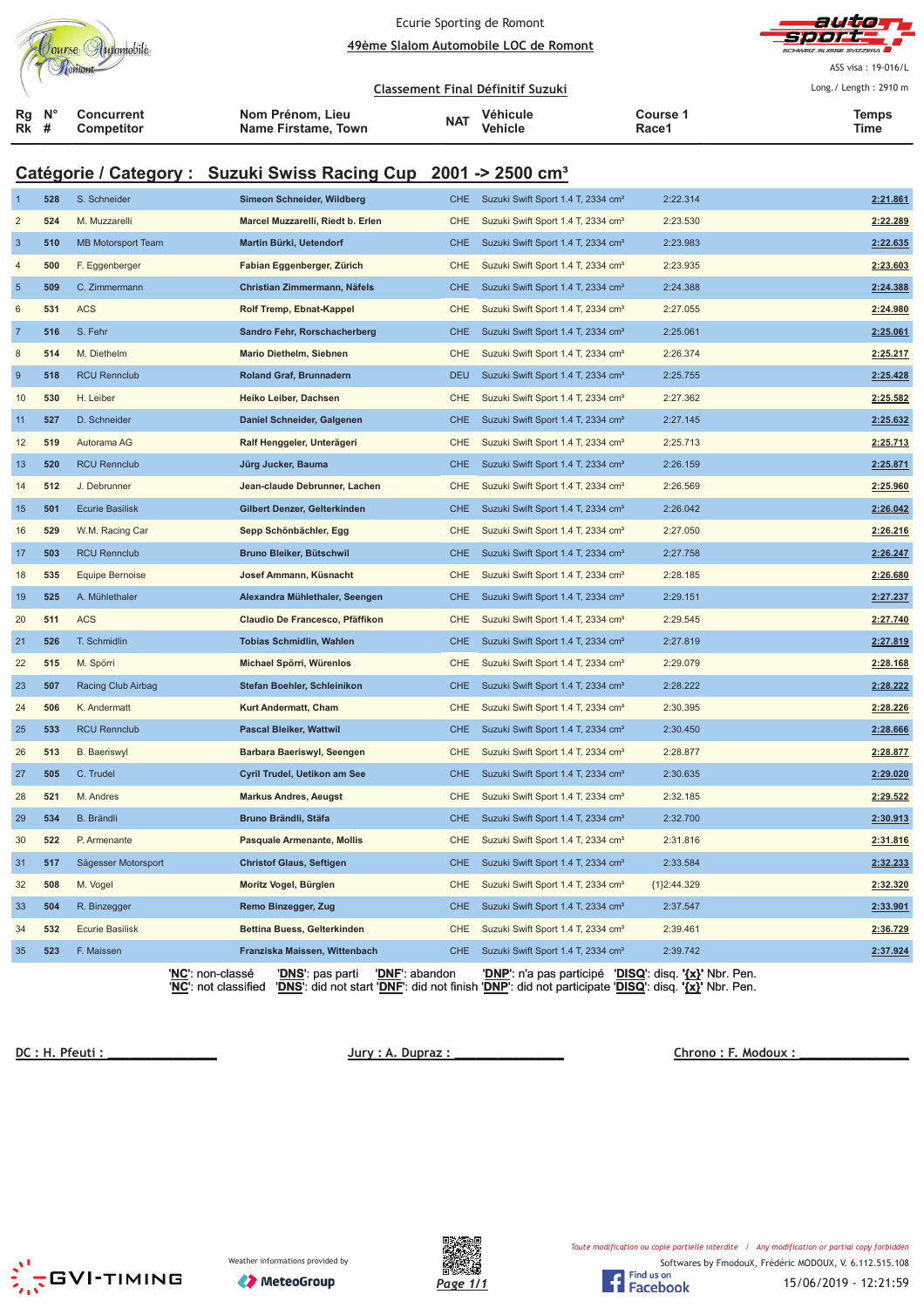|                  |                                                                                                                                                                                                                                                                         | Tourse Automobile               |                                                                             |                                         | Ecurie Sporting de Romont                | 49ème Slalom Automobile LOC de Romont              |                   | autor                 |
|------------------|-------------------------------------------------------------------------------------------------------------------------------------------------------------------------------------------------------------------------------------------------------------------------|---------------------------------|-----------------------------------------------------------------------------|-----------------------------------------|------------------------------------------|----------------------------------------------------|-------------------|-----------------------|
|                  |                                                                                                                                                                                                                                                                         |                                 |                                                                             |                                         |                                          |                                                    |                   | ASS visa: 19-016/L    |
|                  |                                                                                                                                                                                                                                                                         |                                 |                                                                             |                                         | <b>Classement Final Définitif Suzuki</b> |                                                    |                   | Long./ Length: 2910 m |
| ĸg<br>Rk         | N <sub>c</sub><br>#                                                                                                                                                                                                                                                     | <b>Concurrent</b><br>Competitor |                                                                             | Nom Prénom, Lieu<br>Name Firstame, Town | <b>NAT</b>                               | Véhicule<br>Vehicle                                | Course 1<br>Race1 | <b>Temps</b><br>Time  |
|                  |                                                                                                                                                                                                                                                                         |                                 | Catégorie / Category : Suzuki Swiss Racing Cup 2001 -> 2500 cm <sup>3</sup> |                                         |                                          |                                                    |                   |                       |
| -1               | 528                                                                                                                                                                                                                                                                     | S. Schneider                    |                                                                             | Simeon Schneider, Wildberg              | <b>CHE</b>                               | Suzuki Swift Sport 1.4 T, 2334 cm <sup>3</sup>     | 2:22.314          | 2:21.861              |
| $\overline{c}$   | 524                                                                                                                                                                                                                                                                     | M. Muzzarelli                   |                                                                             | Marcel Muzzarelli, Riedt b. Erlen       | CHE                                      | Suzuki Swift Sport 1.4 T, 2334 cm <sup>3</sup>     | 2:23.530          | 2:22.289              |
| $\mathbf{3}$     | 510                                                                                                                                                                                                                                                                     | <b>MB Motorsport Team</b>       |                                                                             | Martin Bürki, Uetendorf                 | <b>CHE</b>                               | Suzuki Swift Sport 1.4 T, 2334 cm <sup>3</sup>     | 2:23.983          | 2:22.635              |
| 4                | 500                                                                                                                                                                                                                                                                     | F. Eggenberger                  |                                                                             | Fabian Eggenberger, Zürich              | CHE                                      | Suzuki Swift Sport 1.4 T, 2334 cm <sup>3</sup>     | 2:23.935          | 2:23.603              |
| $\overline{5}$   | 509                                                                                                                                                                                                                                                                     | C. Zimmermann                   |                                                                             | Christian Zimmermann, Näfels            | <b>CHE</b>                               | Suzuki Swift Sport 1.4 T, 2334 cm <sup>3</sup>     | 2:24.388          | 2:24.388              |
| 6                | 531                                                                                                                                                                                                                                                                     | <b>ACS</b>                      |                                                                             | Rolf Tremp, Ebnat-Kappel                | CHE                                      | Suzuki Swift Sport 1.4 T, 2334 cm <sup>3</sup>     | 2:27.055          | 2:24.980              |
| $\overline{7}$   | 516                                                                                                                                                                                                                                                                     | S. Fehr                         |                                                                             | Sandro Fehr, Rorschacherberg            | <b>CHE</b>                               | Suzuki Swift Sport 1.4 T, 2334 cm <sup>3</sup>     | 2:25.061          | 2:25.061              |
| 8                | 514                                                                                                                                                                                                                                                                     | M. Diethelm                     |                                                                             | <b>Mario Diethelm, Siebnen</b>          | CHE                                      | Suzuki Swift Sport 1.4 T, 2334 cm <sup>3</sup>     | 2:26.374          | 2:25.217              |
| $\boldsymbol{9}$ | 518                                                                                                                                                                                                                                                                     | <b>RCU Rennclub</b>             |                                                                             | Roland Graf, Brunnadern                 | <b>DEU</b>                               | Suzuki Swift Sport 1.4 T, 2334 cm <sup>3</sup>     | 2:25.755          | 2:25.428              |
| 10               | 530                                                                                                                                                                                                                                                                     | H. Leiber                       |                                                                             | Heiko Leiber, Dachsen                   | CHE                                      | Suzuki Swift Sport 1.4 T, 2334 cm <sup>3</sup>     | 2:27.362          | 2:25.582              |
| 11               | 527                                                                                                                                                                                                                                                                     | D. Schneider                    |                                                                             | Daniel Schneider, Galgenen              | <b>CHE</b>                               | Suzuki Swift Sport 1.4 T, 2334 cm <sup>3</sup>     | 2:27.145          | 2:25.632              |
| 12               | 519                                                                                                                                                                                                                                                                     | Autorama AG                     |                                                                             | Ralf Henggeler, Unterägeri              | CHE                                      | Suzuki Swift Sport 1.4 T, 2334 cm <sup>3</sup>     | 2:25.713          | 2:25.713              |
| 13               | 520                                                                                                                                                                                                                                                                     | <b>RCU Rennclub</b>             |                                                                             | Jürg Jucker, Bauma                      | <b>CHE</b>                               | Suzuki Swift Sport 1.4 T, 2334 cm <sup>3</sup>     | 2:26.159          | 2:25.871              |
| 14               | 512                                                                                                                                                                                                                                                                     | J. Debrunner                    |                                                                             | Jean-claude Debrunner, Lachen           | CHE                                      | Suzuki Swift Sport 1.4 T, 2334 cm <sup>3</sup>     | 2:26.569          | 2:25.960              |
| 15               | 501                                                                                                                                                                                                                                                                     | <b>Ecurie Basilisk</b>          |                                                                             | Gilbert Denzer, Gelterkinden            | <b>CHE</b>                               | Suzuki Swift Sport 1.4 T, 2334 cm <sup>3</sup>     | 2:26.042          | 2:26.042              |
| 16               | 529                                                                                                                                                                                                                                                                     | W.M. Racing Car                 |                                                                             | Sepp Schönbächler, Egg                  | CHE                                      | Suzuki Swift Sport 1.4 T, 2334 cm <sup>3</sup>     | 2:27.050          | 2:26.216              |
| 17               | 503                                                                                                                                                                                                                                                                     | <b>RCU Rennclub</b>             |                                                                             | Bruno Bleiker, Bütschwil                | <b>CHE</b>                               | Suzuki Swift Sport 1.4 T, 2334 cm <sup>3</sup>     | 2:27.758          | 2:26.247              |
| 18               | 535                                                                                                                                                                                                                                                                     | <b>Equipe Bernoise</b>          |                                                                             | Josef Ammann, Küsnacht                  | CHE                                      | Suzuki Swift Sport 1.4 T, 2334 cm <sup>3</sup>     | 2:28.185          | 2:26.680              |
| 19               | 525                                                                                                                                                                                                                                                                     | A. Mühlethaler                  |                                                                             | Alexandra Mühlethaler, Seengen          | <b>CHE</b>                               | Suzuki Swift Sport 1.4 T, 2334 cm <sup>3</sup>     | 2:29.151          | 2:27.237              |
| 20               | 511                                                                                                                                                                                                                                                                     | <b>ACS</b>                      |                                                                             | Claudio De Francesco, Pfäffikon         | CHE                                      | Suzuki Swift Sport 1.4 T, 2334 cm <sup>3</sup>     | 2:29.545          | 2:27.740              |
| 21               | 526                                                                                                                                                                                                                                                                     | T. Schmidlin                    |                                                                             | <b>Tobias Schmidlin, Wahlen</b>         | <b>CHE</b>                               | Suzuki Swift Sport 1.4 T, 2334 cm <sup>3</sup>     | 2:27.819          | 2:27.819              |
| 22               | 515                                                                                                                                                                                                                                                                     | M. Spörri                       |                                                                             | Michael Spörri, Würenlos                | CHE                                      | Suzuki Swift Sport 1.4 T, 2334 cm <sup>3</sup>     | 2:29.079          | 2:28.168              |
| 23               | 507                                                                                                                                                                                                                                                                     | Racing Club Airbag              |                                                                             | Stefan Boehler, Schleinikon             | <b>CHE</b>                               | Suzuki Swift Sport 1.4 T, 2334 cm <sup>3</sup>     | 2:28.222          | 2:28.222              |
| 24               | 506                                                                                                                                                                                                                                                                     | K. Andermatt                    |                                                                             | Kurt Andermatt, Cham                    |                                          | CHE Suzuki Swift Sport 1.4 T, 2334 cm <sup>3</sup> | 2:30.395          | 2:28.226              |
| 25               | 533                                                                                                                                                                                                                                                                     | <b>RCU Rennclub</b>             |                                                                             | Pascal Bleiker, Wattwil                 | <b>CHE</b>                               | Suzuki Swift Sport 1.4 T, 2334 cm <sup>3</sup>     | 2:30.450          | 2:28.666              |
| 26               | 513                                                                                                                                                                                                                                                                     | <b>B.</b> Baeriswyl             |                                                                             | Barbara Baeriswyl, Seengen              | CHE                                      | Suzuki Swift Sport 1.4 T, 2334 cm <sup>3</sup>     | 2:28.877          | 2:28.877              |
| 27               | 505                                                                                                                                                                                                                                                                     | C. Trudel                       |                                                                             | Cyril Trudel, Uetikon am See            | <b>CHE</b>                               | Suzuki Swift Sport 1.4 T, 2334 cm <sup>3</sup>     | 2:30.635          | 2:29.020              |
| 28               | 521                                                                                                                                                                                                                                                                     | M. Andres                       |                                                                             | <b>Markus Andres, Aeugst</b>            | CHE                                      | Suzuki Swift Sport 1.4 T, 2334 cm <sup>3</sup>     | 2:32.185          | 2:29.522              |
| 29               | 534                                                                                                                                                                                                                                                                     | B. Brändli                      |                                                                             | Bruno Brändli, Stäfa                    | <b>CHE</b>                               | Suzuki Swift Sport 1.4 T, 2334 cm <sup>3</sup>     | 2:32.700          | 2:30.913              |
| 30               | 522                                                                                                                                                                                                                                                                     | P. Armenante                    |                                                                             | <b>Pasquale Armenante, Mollis</b>       | CHE                                      | Suzuki Swift Sport 1.4 T, 2334 cm <sup>3</sup>     | 2:31.816          | 2:31.816              |
| 31               | 517                                                                                                                                                                                                                                                                     | Sägesser Motorsport             |                                                                             | <b>Christof Glaus, Seftigen</b>         | <b>CHE</b>                               | Suzuki Swift Sport 1.4 T, 2334 cm <sup>3</sup>     | 2:33.584          | 2:32.233              |
| 32               | 508                                                                                                                                                                                                                                                                     | M. Vogel                        |                                                                             | Moritz Vogel, Bürglen                   | CHE                                      | Suzuki Swift Sport 1.4 T, 2334 cm <sup>3</sup>     | {1}2:44.329       | 2:32.320              |
| 33               | 504                                                                                                                                                                                                                                                                     | R. Binzegger                    |                                                                             | Remo Binzegger, Zug                     | <b>CHE</b>                               | Suzuki Swift Sport 1.4 T, 2334 cm <sup>3</sup>     | 2:37.547          | 2:33.901              |
| 34               | 532                                                                                                                                                                                                                                                                     | <b>Ecurie Basilisk</b>          |                                                                             | Bettina Buess, Gelterkinden             | CHE                                      | Suzuki Swift Sport 1.4 T, 2334 cm <sup>3</sup>     | 2:39.461          | 2:36.729              |
| 35               | 523                                                                                                                                                                                                                                                                     | F. Maissen                      |                                                                             | Franziska Maissen, Wittenbach           | <b>CHE</b>                               | Suzuki Swift Sport 1.4 T, 2334 cm <sup>3</sup>     | 2:39.742          | 2:37.924              |
|                  | <b>'NC'</b> : non-classé<br><b>'DNF':</b> abandon<br>'DNP': n'a pas participé 'DISQ': disq. '{x}' Nbr. Pen.<br>' <u>DNS</u> ': pas parti<br>'DNS': did not start 'DNF': did not finish 'DNP': did not participate 'DISQ': disq. '{x}' Nbr. Pen.<br>'NC': not classified |                                 |                                                                             |                                         |                                          |                                                    |                   |                       |

 **!!!!!!!!!!!!!!! "#\$%# !!!!!!!!!!!!!!! &#** 

 **' (!!!!!!!!!!!!!!!**



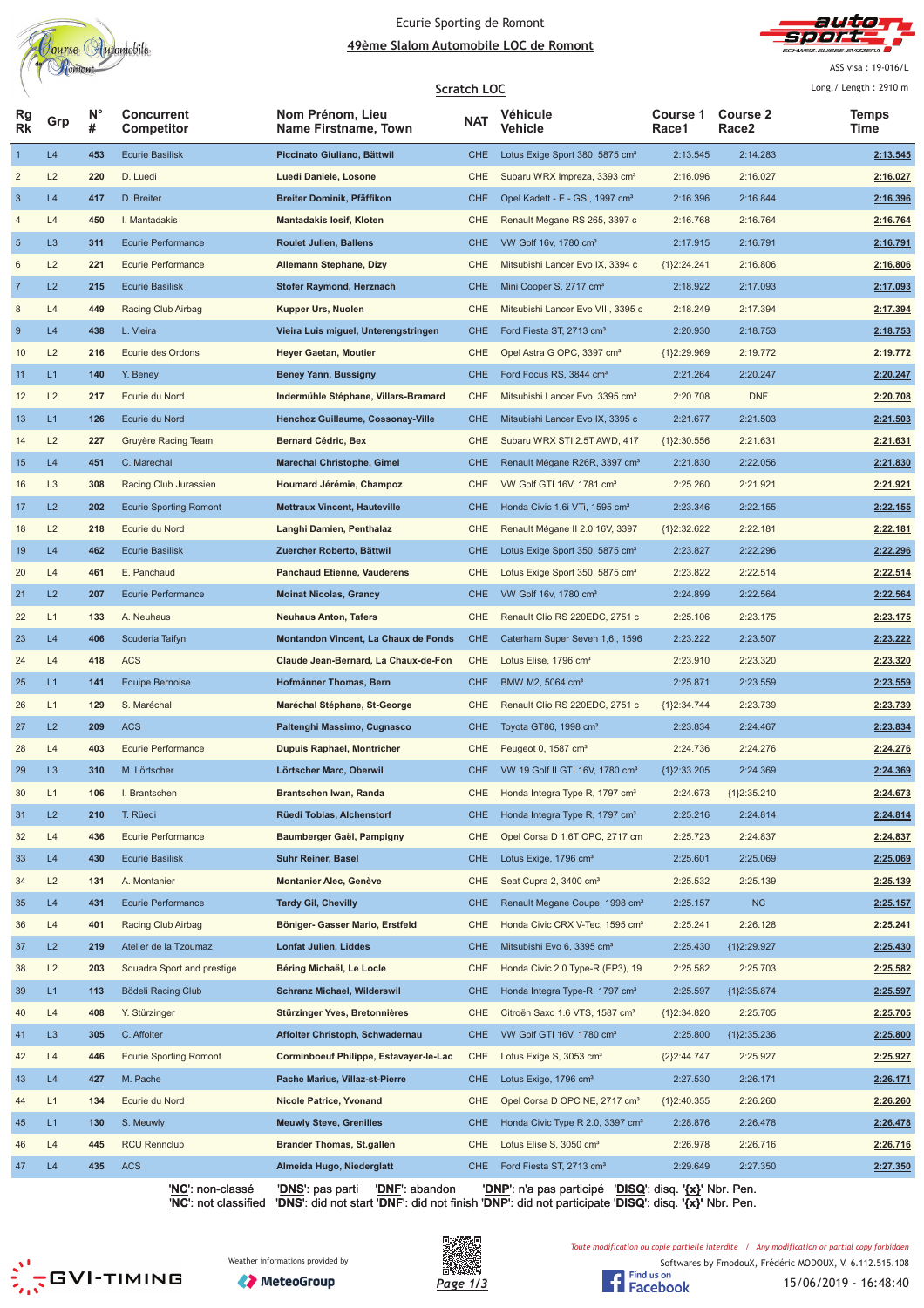

#### Ecurie Sporting de Romont <u> **49ème Slalom Automobile LOC de Romont**</u>



ASS visa: 19-016/L

|                 |                |                  |                                 |                                          | Scratch LOC |                                              |                          |                          | Long./ Length: 2910 m |
|-----------------|----------------|------------------|---------------------------------|------------------------------------------|-------------|----------------------------------------------|--------------------------|--------------------------|-----------------------|
| Rg<br><b>Rk</b> | Grp            | $N^{\circ}$<br># | <b>Concurrent</b><br>Competitor | Nom Prénom, Lieu<br>Name Firstname, Town | <b>NAT</b>  | Véhicule<br><b>Vehicle</b>                   | <b>Course 1</b><br>Race1 | <b>Course 2</b><br>Race2 | <b>Temps</b><br>Time  |
| $\mathbf{1}$    | L4             | 453              | <b>Ecurie Basilisk</b>          | Piccinato Giuliano, Bättwil              | <b>CHE</b>  | Lotus Exige Sport 380, 5875 cm <sup>3</sup>  | 2:13.545                 | 2:14.283                 | 2:13.545              |
| 2               | L2             | 220              | D. Luedi                        | Luedi Daniele, Losone                    | CHE         | Subaru WRX Impreza, 3393 cm <sup>3</sup>     | 2:16.096                 | 2:16.027                 | 2:16.027              |
| $\sqrt{3}$      | L4             | 417              | D. Breiter                      | Breiter Dominik, Pfäffikon               | <b>CHE</b>  | Opel Kadett - E - GSI, 1997 cm <sup>3</sup>  | 2:16.396                 | 2:16.844                 | 2:16.396              |
| 4               | L4             | 450              | I. Mantadakis                   | <b>Mantadakis losif, Kloten</b>          | CHE         | Renault Megane RS 265, 3397 c                | 2:16.768                 | 2:16.764                 | 2:16.764              |
| $\sqrt{5}$      | L <sub>3</sub> | 311              | <b>Ecurie Performance</b>       | <b>Roulet Julien, Ballens</b>            | <b>CHE</b>  | VW Golf 16v, 1780 cm <sup>3</sup>            | 2:17.915                 | 2:16.791                 | 2:16.791              |
| 6               | L2             | 221              | Ecurie Performance              | Allemann Stephane, Dizy                  | CHE         | Mitsubishi Lancer Evo IX, 3394 c             | ${1}2:24.241$            | 2:16.806                 | 2:16.806              |
| $\overline{7}$  | L2             | 215              | <b>Ecurie Basilisk</b>          | <b>Stofer Raymond, Herznach</b>          | <b>CHE</b>  | Mini Cooper S, 2717 cm <sup>3</sup>          | 2:18.922                 | 2:17.093                 | 2:17.093              |
| 8               | L4             | 449              | Racing Club Airbag              | Kupper Urs, Nuolen                       | CHE         | Mitsubishi Lancer Evo VIII, 3395 c           | 2:18.249                 | 2:17.394                 | 2:17.394              |
| 9               | L4             | 438              | L. Vieira                       | Vieira Luis miguel, Unterengstringen     | <b>CHE</b>  | Ford Fiesta ST, 2713 cm <sup>3</sup>         | 2:20.930                 | 2:18.753                 | 2:18.753              |
| 10              | L2             | 216              | Ecurie des Ordons               | <b>Heyer Gaetan, Moutier</b>             | CHE         | Opel Astra G OPC, 3397 cm <sup>3</sup>       | ${1}2:29.969$            | 2:19.772                 | 2:19.772              |
| 11              | L1             | 140              | Y. Beney                        | <b>Beney Yann, Bussigny</b>              | <b>CHE</b>  | Ford Focus RS, 3844 cm <sup>3</sup>          | 2:21.264                 | 2:20.247                 | 2:20.247              |
| 12              | L2             | 217              | Ecurie du Nord                  | Indermühle Stéphane, Villars-Bramard     | CHE         | Mitsubishi Lancer Evo, 3395 cm <sup>3</sup>  | 2:20.708                 | <b>DNF</b>               | 2:20.708              |
| 13              | L1             | 126              | Ecurie du Nord                  | Henchoz Guillaume, Cossonay-Ville        | <b>CHE</b>  | Mitsubishi Lancer Evo IX, 3395 c             | 2:21.677                 | 2:21.503                 | 2:21.503              |
| 14              | L2             | 227              | Gruyère Racing Team             | Bernard Cédric, Bex                      | CHE         | Subaru WRX STI 2.5T AWD, 417                 | ${1}2:30.556$            | 2:21.631                 | 2:21.631              |
| 15              | L4             | 451              | C. Marechal                     | <b>Marechal Christophe, Gimel</b>        | <b>CHE</b>  | Renault Mégane R26R, 3397 cm <sup>3</sup>    | 2:21.830                 | 2:22.056                 | 2:21.830              |
| 16              | L <sub>3</sub> | 308              | Racing Club Jurassien           | Houmard Jérémie, Champoz                 | <b>CHE</b>  | VW Golf GTI 16V, 1781 cm <sup>3</sup>        | 2:25.260                 | 2:21.921                 | 2:21.921              |
| 17              | L2             | 202              | <b>Ecurie Sporting Romont</b>   | <b>Mettraux Vincent, Hauteville</b>      | <b>CHE</b>  | Honda Civic 1.6 VTi, 1595 cm <sup>3</sup>    | 2:23.346                 | 2:22.155                 | 2:22.155              |
| 18              | L2             | 218              | Ecurie du Nord                  | Langhi Damien, Penthalaz                 | CHE         | Renault Mégane II 2.0 16V, 3397              | {1}2:32.622              | 2:22.181                 | 2:22.181              |
| 19              | L4             | 462              | <b>Ecurie Basilisk</b>          | Zuercher Roberto, Bättwil                | <b>CHE</b>  | Lotus Exige Sport 350, 5875 cm <sup>3</sup>  | 2:23.827                 | 2:22.296                 | 2:22.296              |
| 20              | L4             | 461              | E. Panchaud                     | <b>Panchaud Etienne, Vauderens</b>       | CHE         | Lotus Exige Sport 350, 5875 cm <sup>3</sup>  | 2:23.822                 | 2:22.514                 | 2:22.514              |
| 21              | L2             | 207              | <b>Ecurie Performance</b>       | <b>Moinat Nicolas, Grancy</b>            | <b>CHE</b>  | VW Golf 16v, 1780 cm <sup>3</sup>            | 2:24.899                 | 2:22.564                 | 2:22.564              |
| 22              | L1             | 133              | A. Neuhaus                      | <b>Neuhaus Anton, Tafers</b>             | CHE         | Renault Clio RS 220EDC, 2751 c               | 2:25.106                 | 2:23.175                 | 2:23.175              |
| 23              | L4             | 406              | Scuderia Taifyn                 | Montandon Vincent, La Chaux de Fonds     | <b>CHE</b>  | Caterham Super Seven 1,6i, 1596              | 2:23.222                 | 2:23.507                 | 2:23.222              |
| 24              | L4             | 418              | <b>ACS</b>                      | Claude Jean-Bernard, La Chaux-de-Fon     | CHE         | Lotus Elise, 1796 cm <sup>3</sup>            | 2:23.910                 | 2:23.320                 | 2:23.320              |
| 25              | L1             | 141              | Equipe Bernoise                 | Hofmänner Thomas, Bern                   | <b>CHE</b>  | BMW M2, 5064 cm <sup>3</sup>                 | 2:25.871                 | 2:23.559                 | 2:23.559              |
| 26              | L1             | 129              | S. Maréchal                     | Maréchal Stéphane, St-George             | CHE         | Renault Clio RS 220EDC, 2751 c               | ${1}2:34.744$            | 2:23.739                 | 2:23.739              |
| 27              | L2             | 209              | <b>ACS</b>                      | Paltenghi Massimo, Cugnasco              | <b>CHE</b>  | Toyota GT86, 1998 cm <sup>3</sup>            | 2:23.834                 | 2:24.467                 | 2:23.834              |
| 28              | L4             | 403              | <b>Ecurie Performance</b>       | <b>Dupuis Raphael, Montricher</b>        | CHE         | Peugeot 0, 1587 cm <sup>3</sup>              | 2:24.736                 | 2:24.276                 | 2:24.276              |
| 29              | L <sub>3</sub> | 310              | M. Lörtscher                    | Lörtscher Marc, Oberwil                  | CHE.        | VW 19 Golf II GTI 16V, 1780 cm <sup>3</sup>  | {1}2:33.205              | 2:24.369                 | 2:24.369              |
| 30              | L1             | 106              | I. Brantschen                   | Brantschen Iwan, Randa                   | CHE         | Honda Integra Type R, 1797 cm <sup>3</sup>   | 2:24.673                 | ${1}2:35.210$            | 2:24.673              |
| 31              | L2             | 210              | T. Rüedi                        | Rüedi Tobias, Alchenstorf                | <b>CHE</b>  | Honda Integra Type R, 1797 cm <sup>3</sup>   | 2:25.216                 | 2:24.814                 | 2:24.814              |
| 32              | L4             | 436              | Ecurie Performance              | Baumberger Gaël, Pampigny                | CHE         | Opel Corsa D 1.6T OPC, 2717 cm               | 2:25.723                 | 2:24.837                 | 2:24.837              |
| 33              | L4             | 430              | <b>Ecurie Basilisk</b>          | <b>Suhr Reiner, Basel</b>                | <b>CHE</b>  | Lotus Exige, 1796 cm <sup>3</sup>            | 2:25.601                 | 2:25.069                 | 2:25.069              |
| 34              | L2             | 131              | A. Montanier                    | <b>Montanier Alec, Genève</b>            | CHE         | Seat Cupra 2, 3400 cm <sup>3</sup>           | 2:25.532                 | 2:25.139                 | 2:25.139              |
| 35              | L4             | 431              | <b>Ecurie Performance</b>       | <b>Tardy Gil, Chevilly</b>               | <b>CHE</b>  | Renault Megane Coupe, 1998 cm <sup>3</sup>   | 2:25.157                 | NC                       | 2:25.157              |
| 36              | L4             | 401              | Racing Club Airbag              | Böniger- Gasser Mario, Erstfeld          | CHE         | Honda Civic CRX V-Tec, 1595 cm <sup>3</sup>  | 2:25.241                 | 2:26.128                 | 2:25.241              |
| 37              | L2             | 219              | Atelier de la Tzoumaz           | Lonfat Julien, Liddes                    | <b>CHE</b>  | Mitsubishi Evo 6, 3395 cm <sup>3</sup>       | 2:25.430                 | ${1}2:29.927$            | 2:25.430              |
| 38              | L2             | 203              | Squadra Sport and prestige      | Béring Michaël, Le Locle                 | CHE         | Honda Civic 2.0 Type-R (EP3), 19             | 2:25.582                 | 2:25.703                 | 2:25.582              |
| 39              | L1             | 113              | Bödeli Racing Club              | <b>Schranz Michael, Wilderswil</b>       | <b>CHE</b>  | Honda Integra Type-R, 1797 cm <sup>3</sup>   | 2:25.597                 | ${1}2:35.874$            | 2:25.597              |
| 40              | L4             | 408              | Y. Stürzinger                   | Stürzinger Yves, Bretonnières            | CHE         | Citroën Saxo 1.6 VTS, 1587 cm <sup>3</sup>   | ${1}2:34.820$            | 2:25.705                 | 2:25.705              |
| 41              | L <sub>3</sub> | 305              | C. Affolter                     | Affolter Christoph, Schwadernau          | <b>CHE</b>  | VW Golf GTI 16V, 1780 cm <sup>3</sup>        | 2:25.800                 | {1}2:35.236              | 2:25.800              |
| 42              | L4             | 446              | <b>Ecurie Sporting Romont</b>   | Corminboeuf Philippe, Estavayer-le-Lac   | CHE         | Lotus Exige S, 3053 cm <sup>3</sup>          | ${2}2:44.747$            | 2:25.927                 | 2:25.927              |
| 43              | L4             | 427              | M. Pache                        | Pache Marius, Villaz-st-Pierre           | <b>CHE</b>  | Lotus Exige, 1796 cm <sup>3</sup>            | 2:27.530                 | 2:26.171                 | 2:26.171              |
| 44              | L1             | 134              | Ecurie du Nord                  | <b>Nicole Patrice, Yvonand</b>           | CHE         | Opel Corsa D OPC NE, 2717 cm <sup>3</sup>    | {1}2:40.355              | 2:26.260                 | 2:26.260              |
| 45              | L1             | 130              | S. Meuwly                       | <b>Meuwly Steve, Grenilles</b>           | <b>CHE</b>  | Honda Civic Type R 2.0, 3397 cm <sup>3</sup> | 2:28.876                 | 2:26.478                 | 2:26.478              |
| 46              | L4             | 445              | <b>RCU Rennclub</b>             | <b>Brander Thomas, St.gallen</b>         | CHE         | Lotus Elise S, 3050 cm <sup>3</sup>          | 2:26.978                 | 2:26.716                 | 2:26.716              |
| 47              | L4             | 435              | <b>ACS</b>                      | Almeida Hugo, Niederglatt                | <b>CHE</b>  | Ford Fiesta ST, 2713 cm <sup>3</sup>         | 2:29.649                 | 2:27.350                 | 2:27.350              |

'**NC**': non-classé '**DNS**': pas parti '**DNF**': abandon '**DNP**': n'a pas participé '**DISQ**': disq. **'{x}'** Nbr. Pen. '**NC**': not classified '**DNS**': did not start '**DNF**': did not finish '**DNP**': did not participate '**DISQ**': disq. **'{x}'** Nbr. Pen.





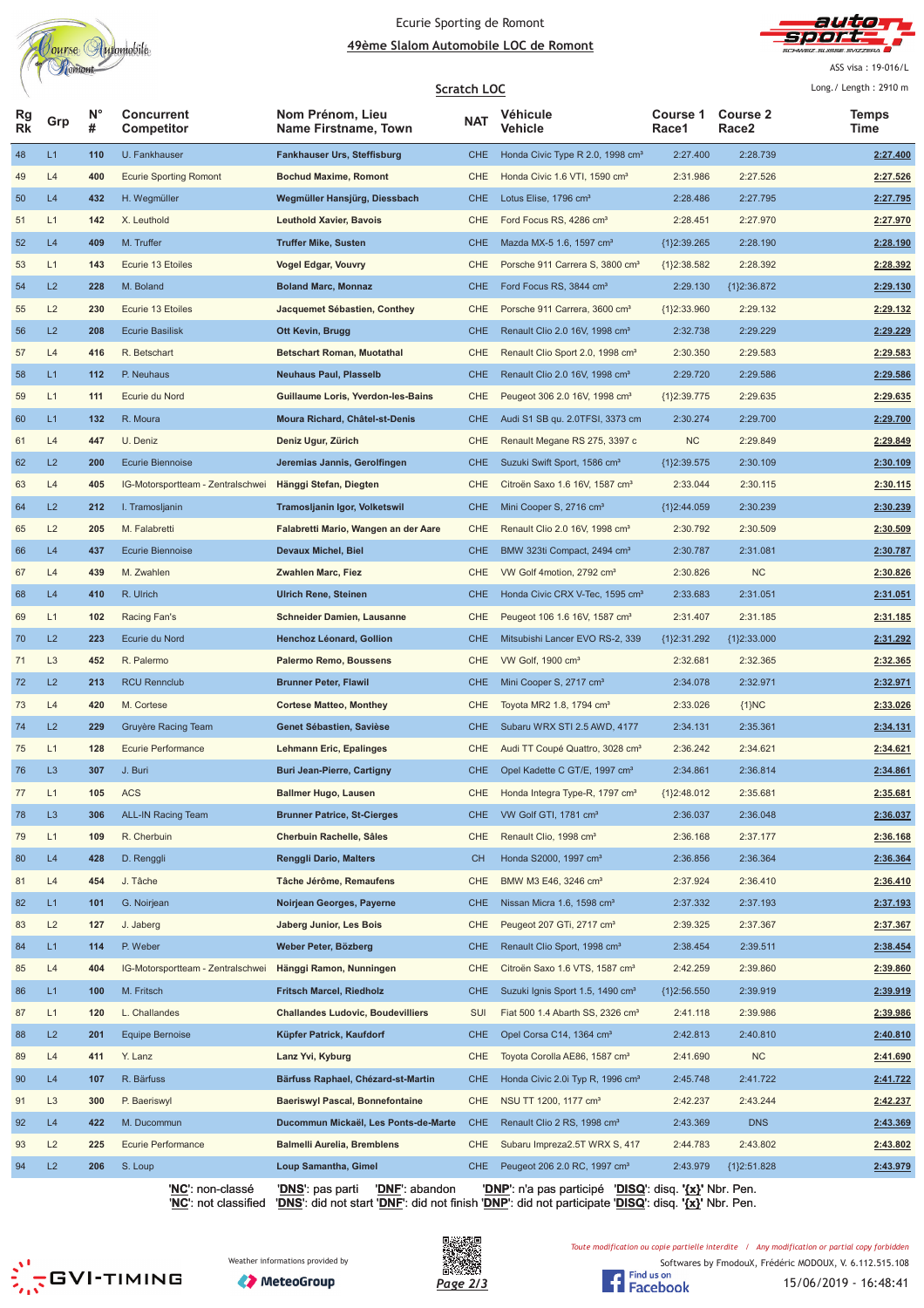

#### Ecurie Sporting de Romont <u> **49ème Slalom Automobile LOC de Romont**</u>



ASS visa: 19-016/L

|                 |                |                  |                                   |                                          | <b>Scratch LOC</b> |                                              |                   |                                      | Long./ Length: 2910 m |
|-----------------|----------------|------------------|-----------------------------------|------------------------------------------|--------------------|----------------------------------------------|-------------------|--------------------------------------|-----------------------|
| Rg<br><b>Rk</b> | Grp            | $N^{\circ}$<br># | <b>Concurrent</b><br>Competitor   | Nom Prénom, Lieu<br>Name Firstname, Town | NAT                | Véhicule<br>Vehicle                          | Course 1<br>Race1 | <b>Course 2</b><br>Race <sub>2</sub> | Temps<br>Time         |
| 48              | L1             | 110              | U. Fankhauser                     | <b>Fankhauser Urs, Steffisburg</b>       | <b>CHE</b>         | Honda Civic Type R 2.0, 1998 cm <sup>3</sup> | 2:27.400          | 2:28.739                             | 2:27.400              |
| 49              | L4             | 400              | <b>Ecurie Sporting Romont</b>     | <b>Bochud Maxime, Romont</b>             | <b>CHE</b>         | Honda Civic 1.6 VTI, 1590 cm <sup>3</sup>    | 2:31.986          | 2:27.526                             | 2:27.526              |
| 50              | L4             | 432              | H. Wegmüller                      | Wegmüller Hansjürg, Diessbach            | <b>CHE</b>         | Lotus Elise, 1796 cm <sup>3</sup>            | 2:28.486          | 2:27.795                             | 2:27.795              |
| 51              | L1             | 142              | X. Leuthold                       | <b>Leuthold Xavier, Bavois</b>           | <b>CHE</b>         | Ford Focus RS, 4286 cm <sup>3</sup>          | 2:28.451          | 2:27.970                             | 2:27.970              |
| 52              | L4             | 409              | M. Truffer                        | <b>Truffer Mike, Susten</b>              | <b>CHE</b>         | Mazda MX-5 1.6, 1597 cm <sup>3</sup>         | ${1}2:39.265$     | 2:28.190                             | 2:28.190              |
| 53              | L1             | 143              | Ecurie 13 Etoiles                 | <b>Vogel Edgar, Vouvry</b>               | <b>CHE</b>         | Porsche 911 Carrera S, 3800 cm <sup>3</sup>  | ${1}2:38.582$     | 2:28.392                             | 2:28.392              |
| 54              | L2             | 228              | M. Boland                         | <b>Boland Marc, Monnaz</b>               | <b>CHE</b>         | Ford Focus RS, 3844 cm <sup>3</sup>          | 2:29.130          | ${1}2:36.872$                        | 2:29.130              |
| 55              | L2             | 230              | Ecurie 13 Etoiles                 | Jacquemet Sébastien, Conthey             | CHE                | Porsche 911 Carrera, 3600 cm <sup>3</sup>    | ${1}2:33.960$     | 2:29.132                             | 2:29.132              |
| 56              | L2             | 208              | <b>Ecurie Basilisk</b>            | Ott Kevin, Brugg                         | <b>CHE</b>         | Renault Clio 2.0 16V, 1998 cm <sup>3</sup>   | 2:32.738          | 2:29.229                             | 2:29.229              |
| 57              | L4             | 416              | R. Betschart                      | <b>Betschart Roman, Muotathal</b>        | CHE                | Renault Clio Sport 2.0, 1998 cm <sup>3</sup> | 2:30.350          | 2:29.583                             | 2:29.583              |
| 58              | L1             | 112              | P. Neuhaus                        | <b>Neuhaus Paul, Plasselb</b>            | <b>CHE</b>         | Renault Clio 2.0 16V, 1998 cm <sup>3</sup>   | 2:29.720          | 2:29.586                             | 2:29.586              |
| 59              | L1             | 111              | Ecurie du Nord                    | Guillaume Loris, Yverdon-les-Bains       | CHE                | Peugeot 306 2.0 16V, 1998 cm <sup>3</sup>    | ${1}2:39.775$     | 2:29.635                             | 2:29.635              |
| 60              | L1             | 132              | R. Moura                          | Moura Richard, Châtel-st-Denis           | <b>CHE</b>         | Audi S1 SB qu. 2.0TFSI, 3373 cm              | 2:30.274          | 2:29.700                             | 2:29.700              |
| 61              | L4             | 447              | U. Deniz                          | Deniz Ugur, Zürich                       | CHE                | Renault Megane RS 275, 3397 c                | <b>NC</b>         | 2:29.849                             | 2:29.849              |
| 62              | L2             | 200              | <b>Ecurie Biennoise</b>           | Jeremias Jannis, Gerolfingen             | <b>CHE</b>         | Suzuki Swift Sport, 1586 cm <sup>3</sup>     | ${1}2:39.575$     | 2:30.109                             | 2:30.109              |
| 63              | L4             | 405              | IG-Motorsportteam - Zentralschwei | Hänggi Stefan, Diegten                   | <b>CHE</b>         | Citroën Saxo 1.6 16V, 1587 cm <sup>3</sup>   | 2:33.044          | 2:30.115                             | 2:30.115              |
| 64              | L2             | 212              | I. Tramosljanin                   | Tramosljanin Igor, Volketswil            | <b>CHE</b>         | Mini Cooper S, 2716 cm <sup>3</sup>          | ${1}2:44.059$     | 2:30.239                             | 2:30.239              |
| 65              | L2             | 205              | M. Falabretti                     | Falabretti Mario, Wangen an der Aare     | <b>CHE</b>         | Renault Clio 2.0 16V, 1998 cm <sup>3</sup>   | 2:30.792          | 2:30.509                             | 2:30.509              |
| 66              | L4             | 437              | <b>Ecurie Biennoise</b>           | <b>Devaux Michel, Biel</b>               | <b>CHE</b>         | BMW 323ti Compact, 2494 cm <sup>3</sup>      | 2:30.787          | 2:31.081                             | 2:30.787              |
| 67              | L4             | 439              | M. Zwahlen                        | <b>Zwahlen Marc, Fiez</b>                | CHE                | VW Golf 4motion, 2792 cm <sup>3</sup>        | 2:30.826          | <b>NC</b>                            | 2:30.826              |
| 68              | L4             | 410              | R. Ulrich                         | <b>Ulrich Rene, Steinen</b>              | <b>CHE</b>         | Honda Civic CRX V-Tec, 1595 cm <sup>3</sup>  | 2:33.683          | 2:31.051                             | 2:31.051              |
| 69              | L1             | 102              | Racing Fan's                      | Schneider Damien, Lausanne               | <b>CHE</b>         | Peugeot 106 1.6 16V, 1587 cm <sup>3</sup>    | 2:31.407          | 2:31.185                             | 2:31.185              |
| 70              | L2             | 223              | Ecurie du Nord                    | Henchoz Léonard, Gollion                 | <b>CHE</b>         | Mitsubishi Lancer EVO RS-2, 339              | ${1}2:31.292$     | ${1}2:33.000$                        | 2:31.292              |
| 71              | L <sub>3</sub> | 452              | R. Palermo                        | <b>Palermo Remo, Boussens</b>            | CHE                | VW Golf, $1900 \text{ cm}^3$                 | 2:32.681          | 2:32.365                             | 2:32.365              |
| 72              | L2             | 213              | <b>RCU Rennclub</b>               | <b>Brunner Peter, Flawil</b>             | <b>CHE</b>         | Mini Cooper S, 2717 cm <sup>3</sup>          | 2:34.078          | 2:32.971                             | 2:32.971              |
| 73              | L4             | 420              | M. Cortese                        | <b>Cortese Matteo, Monthey</b>           | CHE                | Toyota MR2 1.8, 1794 cm <sup>3</sup>         | 2:33.026          | ${1}NC$                              | 2:33.026              |
| 74              | L2             | 229              | Gruyère Racing Team               | Genet Sébastien, Savièse                 | <b>CHE</b>         | Subaru WRX STI 2.5 AWD, 4177                 | 2:34.131          | 2:35.361                             | 2:34.131              |
| 75              | L1             | 128              | Ecurie Performance                | Lehmann Eric, Epalinges                  | CHE                | Audi TT Coupé Quattro, 3028 cm <sup>3</sup>  | 2:36.242          | 2:34.621                             | 2:34.621              |
| 76              | L <sub>3</sub> | 307              | J. Buri                           | <b>Buri Jean-Pierre, Cartigny</b>        | <b>CHE</b>         | Opel Kadette C GT/E, 1997 cm <sup>3</sup>    | 2:34.861          | 2:36.814                             | 2:34.861              |
| 77              | L1             | 105              | <b>ACS</b>                        | <b>Ballmer Hugo, Lausen</b>              | CHE                | Honda Integra Type-R, 1797 cm <sup>3</sup>   | {1}2:48.012       | 2:35.681                             | 2:35.681              |
| 78              | L <sub>3</sub> | 306              | <b>ALL-IN Racing Team</b>         | <b>Brunner Patrice, St-Cierges</b>       | <b>CHE</b>         | VW Golf GTI, 1781 cm <sup>3</sup>            | 2:36.037          | 2:36.048                             | 2:36.037              |
| 79              | L1             | 109              | R. Cherbuin                       | Cherbuin Rachelle, Sâles                 | CHE                | Renault Clio, 1998 cm <sup>3</sup>           | 2:36.168          | 2:37.177                             | 2:36.168              |
| 80              | L4             | 428              | D. Renggli                        | Renggli Dario, Malters                   | <b>CH</b>          | Honda S2000, 1997 cm <sup>3</sup>            | 2:36.856          | 2:36.364                             | 2:36.364              |
| 81              | L4             | 454              | J. Tâche                          | Tâche Jérôme, Remaufens                  | CHE                | BMW M3 E46, 3246 cm <sup>3</sup>             | 2:37.924          | 2:36.410                             | 2:36.410              |
| 82              | L1             | 101              | G. Noirjean                       | Noirjean Georges, Payerne                | <b>CHE</b>         | Nissan Micra 1.6, 1598 cm <sup>3</sup>       | 2:37.332          | 2:37.193                             | 2:37.193              |
| 83              | L2             | 127              | J. Jaberg                         | Jaberg Junior, Les Bois                  | CHE                | Peugeot 207 GTi, 2717 cm <sup>3</sup>        | 2:39.325          | 2:37.367                             | 2:37.367              |
| 84              | L1             | 114              | P. Weber                          | Weber Peter, Bözberg                     | <b>CHE</b>         | Renault Clio Sport, 1998 cm <sup>3</sup>     | 2:38.454          | 2:39.511                             | 2:38.454              |
| 85              | L4             | 404              | IG-Motorsportteam - Zentralschwei | Hänggi Ramon, Nunningen                  | CHE                | Citroën Saxo 1.6 VTS, 1587 cm <sup>3</sup>   | 2:42.259          | 2:39.860                             | 2:39.860              |
| 86              | L1             | 100              | M. Fritsch                        | <b>Fritsch Marcel, Riedholz</b>          | <b>CHE</b>         | Suzuki Ignis Sport 1.5, 1490 cm <sup>3</sup> | ${1}2:56.550$     | 2:39.919                             | 2:39.919              |
| 87              | L1             | 120              | L. Challandes                     | <b>Challandes Ludovic, Boudevilliers</b> | SUI                | Fiat 500 1.4 Abarth SS, 2326 $cm3$           | 2:41.118          | 2:39.986                             | 2:39.986              |
| 88              | L2             | 201              | <b>Equipe Bernoise</b>            | Küpfer Patrick, Kaufdorf                 | <b>CHE</b>         | Opel Corsa C14, 1364 cm <sup>3</sup>         | 2:42.813          | 2:40.810                             | 2:40.810              |
|                 | L4             | 411              | Y. Lanz                           | Lanz Yvi, Kyburg                         | <b>CHE</b>         | Toyota Corolla AE86, 1587 cm <sup>3</sup>    | 2:41.690          | NC                                   | 2:41.690              |
| 89<br>90        | L4             | 107              | R. Bärfuss                        | Bärfuss Raphael, Chézard-st-Martin       | <b>CHE</b>         | Honda Civic 2.0i Typ R, 1996 cm <sup>3</sup> | 2:45.748          | 2:41.722                             | 2:41.722              |
| 91              | L <sub>3</sub> | 300              | P. Baeriswyl                      | <b>Baeriswyl Pascal, Bonnefontaine</b>   | CHE                | NSU TT 1200, 1177 cm <sup>3</sup>            | 2:42.237          | 2:43.244                             | 2:42.237              |
| 92              | L4             | 422              | M. Ducommun                       | Ducommun Mickaël, Les Ponts-de-Marte     | <b>CHE</b>         | Renault Clio 2 RS, 1998 cm <sup>3</sup>      | 2:43.369          | <b>DNS</b>                           | 2:43.369              |
|                 | L2             | 225              | Ecurie Performance                | <b>Balmelli Aurelia, Bremblens</b>       | CHE                | Subaru Impreza2.5T WRX S, 417                | 2:44.783          | 2:43.802                             |                       |
| 93<br>94        | L2             | 206              | S. Loup                           | Loup Samantha, Gimel                     | <b>CHE</b>         | Peugeot 206 2.0 RC, 1997 cm <sup>3</sup>     | 2:43.979          | ${1}2:51.828$                        | 2:43.802<br>2:43.979  |
|                 |                |                  |                                   |                                          |                    |                                              |                   |                                      |                       |

'**NC**': non-classé '**DNS**': pas parti '**DNF**': abandon '**DNP**': n'a pas participé '**DISQ**': disq. **'{x}'** Nbr. Pen. '**NC**': not classified '**DNS**': did not start '**DNF**': did not finish '**DNP**': did not participate '**DISQ**': disq. **'{x}'** Nbr. Pen.







Softwares by FmodouX, Frédéric MODOUX, V. 6.112.515.108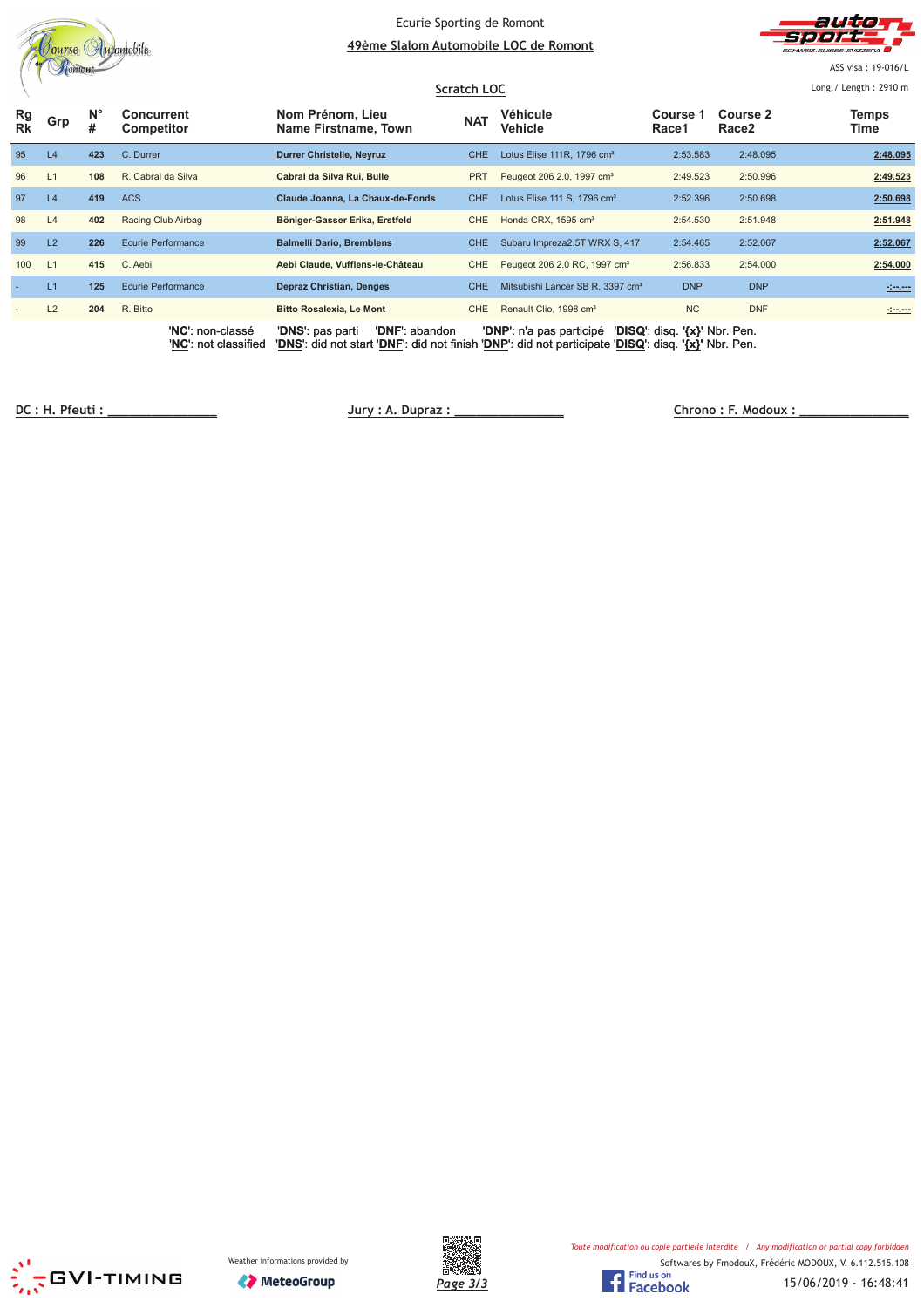|          | utomobile<br>nurse |                  |                                          | Ecurie Sporting de Romont<br>49ème Slalom Automobile LOC de Romont<br>Scratch LOC                                                         |            |                                              | auto<br>SCHWEIZ SUISSE SVIZZEDA<br>ASS visa: 19-016/L<br>Long./ Length: 2910 m |                               |                                                                                                                      |
|----------|--------------------|------------------|------------------------------------------|-------------------------------------------------------------------------------------------------------------------------------------------|------------|----------------------------------------------|--------------------------------------------------------------------------------|-------------------------------|----------------------------------------------------------------------------------------------------------------------|
| Rg<br>Rk | Grp                | $N^{\circ}$<br># | Concurrent<br>Competitor                 | Nom Prénom, Lieu<br>Name Firstname, Town                                                                                                  | <b>NAT</b> | Véhicule<br>Vehicle                          | Course 1<br>Race1                                                              | Course 2<br>Race <sub>2</sub> | <b>Temps</b><br>Time                                                                                                 |
| 95       | L4                 | 423              | C. Durrer                                | <b>Durrer Christelle, Neyruz</b>                                                                                                          | <b>CHE</b> | Lotus Elise 111R, 1796 cm <sup>3</sup>       | 2:53.583                                                                       | 2:48.095                      | 2:48.095                                                                                                             |
| 96       | L1                 | 108              | R. Cabral da Silva                       | Cabral da Silva Rui, Bulle                                                                                                                | <b>PRT</b> | Peugeot 206 2.0, 1997 cm <sup>3</sup>        | 2:49.523                                                                       | 2:50.996                      | 2:49.523                                                                                                             |
| 97       | L4                 | 419              | <b>ACS</b>                               | Claude Joanna, La Chaux-de-Fonds                                                                                                          | <b>CHE</b> | Lotus Elise 111 S, 1796 cm <sup>3</sup>      | 2:52.396                                                                       | 2:50.698                      | 2:50.698                                                                                                             |
| 98       | L4                 | 402              | Racing Club Airbag                       | Böniger-Gasser Erika, Erstfeld                                                                                                            | <b>CHE</b> | Honda CRX, 1595 cm <sup>3</sup>              | 2:54.530                                                                       | 2:51.948                      | 2:51.948                                                                                                             |
| 99       | L2                 | 226              | <b>Ecurie Performance</b>                | <b>Balmelli Dario, Bremblens</b>                                                                                                          | CHE.       | Subaru Impreza2.5T WRX S, 417                | 2:54.465                                                                       | 2:52.067                      | 2:52.067                                                                                                             |
| 100      | L1                 | 415              | C. Aebi                                  | Aebi Claude, Vufflens-le-Château                                                                                                          | <b>CHE</b> | Peugeot 206 2.0 RC, 1997 cm <sup>3</sup>     | 2:56.833                                                                       | 2:54.000                      | 2:54.000                                                                                                             |
|          | L1                 | 125              | <b>Ecurie Performance</b>                | <b>Depraz Christian, Denges</b>                                                                                                           | <b>CHE</b> | Mitsubishi Lancer SB R. 3397 cm <sup>3</sup> | <b>DNP</b>                                                                     | <b>DNP</b>                    |                                                                                                                      |
|          | L2                 | 204              | R. Bitto                                 | <b>Bitto Rosalexia, Le Mont</b>                                                                                                           | <b>CHE</b> | Renault Clio, 1998 cm <sup>3</sup>           | <b>NC</b>                                                                      | <b>DNF</b>                    | <u> 1990 - 1991 - 1992 - 1993 - 1994 - 1994 - 1994 - 1994 - 1994 - 1994 - 1994 - 1994 - 1994 - 1994 - 1994 - 199</u> |
|          |                    |                  | 'NC': non-classé<br>'NC': not classified | 'DNF': abandon<br>'DNS': pas parti<br>'DNS': did not start 'DNF': did not finish 'DNP': did not participate 'DISQ': disq. '{x}' Nbr. Pen. |            | 'DNP': n'a pas participé                     | 'DISQ': disq. '{x}' Nbr. Pen.                                                  |                               |                                                                                                                      |

**!" #** 

 **\$% &**





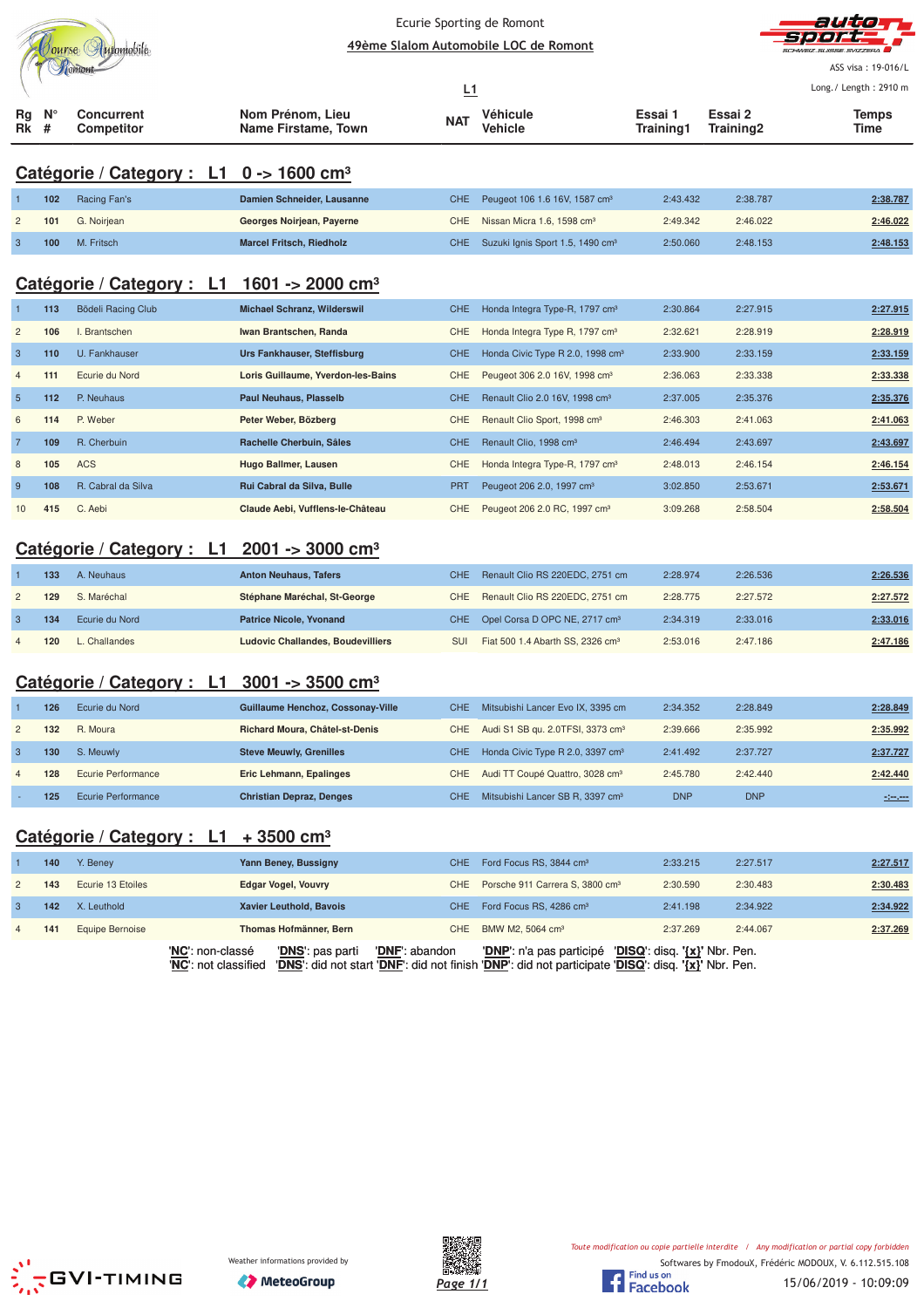|                         |        |                                        |                                          | Ecurie Sporting de Romont |                                                        |                             |                      | auta                  |
|-------------------------|--------|----------------------------------------|------------------------------------------|---------------------------|--------------------------------------------------------|-----------------------------|----------------------|-----------------------|
|                         |        | Jourse Automobile                      |                                          |                           | 49ème Slalom Automobile LOC de Romont                  |                             |                      |                       |
|                         |        | Tomont                                 |                                          |                           |                                                        |                             |                      | ASS visa: 19-016/L    |
|                         |        |                                        |                                          | <u>L1</u>                 |                                                        |                             |                      | Long./ Length: 2910 m |
| Кg<br>Rk                | N<br># | <b>Concurrent</b><br><b>Competitor</b> | Nom Prénom, Lieu<br>Name Firstame, Town  | <b>NAT</b>                | Véhicule<br>Vehicle                                    | Essai 1<br><b>Training1</b> | Essai 2<br>Training2 | <b>Temps</b><br>Time  |
|                         |        | Catégorie / Category : L1              | $0 - 1600$ cm <sup>3</sup>               |                           |                                                        |                             |                      |                       |
|                         | 102    | Racing Fan's                           | Damien Schneider, Lausanne               | <b>CHE</b>                | Peugeot 106 1.6 16V, 1587 cm <sup>3</sup>              | 2:43.432                    | 2:38.787             | 2:38.787              |
| $\overline{c}$          | 101    | G. Noirjean                            | Georges Noirjean, Payerne                | <b>CHE</b>                | Nissan Micra 1.6, 1598 cm <sup>3</sup>                 | 2:49.342                    | 2:46.022             | 2:46.022              |
| $\overline{3}$          | 100    | M. Fritsch                             | <b>Marcel Fritsch, Riedholz</b>          | <b>CHE</b>                | Suzuki Ignis Sport 1.5, 1490 cm <sup>3</sup>           | 2:50.060                    | 2:48.153             | 2:48.153              |
|                         |        | Catégorie / Category : L1              | 1601 -> 2000 cm <sup>3</sup>             |                           |                                                        |                             |                      |                       |
|                         | 113    | Bödeli Racing Club                     | <b>Michael Schranz, Wilderswil</b>       | <b>CHE</b>                | Honda Integra Type-R, 1797 cm <sup>3</sup>             | 2:30.864                    | 2:27.915             | 2:27.915              |
| $\overline{c}$          | 106    | I. Brantschen                          | Iwan Brantschen, Randa                   | <b>CHE</b>                | Honda Integra Type R, 1797 cm <sup>3</sup>             | 2:32.621                    | 2:28.919             | 2:28.919              |
| $\mathbf{3}$            | 110    | U. Fankhauser                          | Urs Fankhauser, Steffisburg              | <b>CHE</b>                | Honda Civic Type R 2.0, 1998 cm <sup>3</sup>           | 2:33.900                    | 2:33.159             | 2:33.159              |
| $\overline{4}$          | 111    | Ecurie du Nord                         | Loris Guillaume, Yverdon-les-Bains       | CHE                       | Peugeot 306 2.0 16V, 1998 cm <sup>3</sup>              | 2:36.063                    | 2:33.338             | 2:33.338              |
| 5                       | 112    | P. Neuhaus                             | <b>Paul Neuhaus, Plasselb</b>            | <b>CHE</b>                | Renault Clio 2.0 16V, 1998 cm <sup>3</sup>             | 2:37.005                    | 2:35.376             | 2:35.376              |
| 6                       | 114    | P. Weber                               | Peter Weber, Bözberg                     | CHE                       | Renault Clio Sport, 1998 cm <sup>3</sup>               | 2:46.303                    | 2:41.063             | 2:41.063              |
| $\overline{7}$          | 109    | R. Cherbuin                            | Rachelle Cherbuin, Sâles                 | <b>CHE</b>                | Renault Clio, 1998 cm <sup>3</sup>                     | 2:46.494                    | 2:43.697             | 2:43.697              |
| 8                       | 105    | <b>ACS</b>                             | Hugo Ballmer, Lausen                     | <b>CHE</b>                | Honda Integra Type-R, 1797 cm <sup>3</sup>             | 2:48.013                    | 2:46.154             | 2:46.154              |
| 9                       | 108    | R. Cabral da Silva                     | Rui Cabral da Silva, Bulle               | <b>PRT</b>                | Peugeot 206 2.0, 1997 cm <sup>3</sup>                  | 3:02.850                    | 2:53.671             | 2:53.671              |
| 10                      | 415    | C. Aebi                                | Claude Aebi, Vufflens-le-Château         | <b>CHE</b>                | Peugeot 206 2.0 RC, 1997 cm <sup>3</sup>               | 3:09.268                    | 2:58.504             | 2:58.504              |
|                         |        | Catégorie / Category : L1              | $2001 - 3000$ cm <sup>3</sup>            |                           |                                                        |                             |                      |                       |
|                         | 133    | A. Neuhaus                             | <b>Anton Neuhaus, Tafers</b>             | <b>CHE</b>                | Renault Clio RS 220EDC, 2751 cm                        | 2:28.974                    | 2:26.536             | 2:26.536              |
| $\overline{c}$          | 129    | S. Maréchal                            | Stéphane Maréchal, St-George             | <b>CHE</b>                | Renault Clio RS 220EDC, 2751 cm                        | 2:28.775                    | 2:27.572             | 2:27.572              |
| 3                       | 134    | Ecurie du Nord                         | <b>Patrice Nicole, Yvonand</b>           | <b>CHE</b>                | Opel Corsa D OPC NE, 2717 cm <sup>3</sup>              | 2:34.319                    | 2:33.016             | 2:33.016              |
| $\overline{4}$          | 120    | L. Challandes                          | <b>Ludovic Challandes, Boudevilliers</b> | SUI                       | Fiat 500 1.4 Abarth SS, 2326 cm <sup>3</sup>           | 2:53.016                    | 2:47.186             | 2:47.186              |
|                         |        |                                        |                                          |                           |                                                        |                             |                      |                       |
|                         |        | Catégorie / Category : L1              | $3001 - 3500$ cm <sup>3</sup>            |                           |                                                        |                             |                      |                       |
|                         | 126    | Ecurie du Nord                         | Guillaume Henchoz, Cossonay-Ville        | CHE.                      | Mitsubishi Lancer Evo IX, 3395 cm                      | 2:34.352                    | 2:28.849             | 2:28.849              |
| $\overline{\mathbf{c}}$ | 132    | R. Moura                               | Richard Moura, Châtel-st-Denis           | CHE                       | Audi S1 SB qu. 2.0TFSI, 3373 cm <sup>3</sup>           | 2:39.666                    | 2:35.992             | 2:35.992              |
| $\mathbf{3}$            | 130    | S. Meuwly                              | <b>Steve Meuwly, Grenilles</b>           | CHE                       | Honda Civic Type R 2.0, 3397 cm <sup>3</sup>           | 2:41.492                    | 2:37.727             | 2:37.727              |
| $\overline{4}$          | 128    | <b>Ecurie Performance</b>              | Eric Lehmann, Epalinges                  | <b>CHE</b>                | Audi TT Coupé Quattro, 3028 cm <sup>3</sup>            | 2:45.780                    | 2:42.440             | 2:42.440              |
|                         | 125    | <b>Ecurie Performance</b>              | <b>Christian Depraz, Denges</b>          | <b>CHE</b>                | Mitsubishi Lancer SB R, 3397 cm <sup>3</sup>           | <b>DNP</b>                  | <b>DNP</b>           | <u> - 1-1-1-1</u>     |
|                         |        | Catégorie / Category : L1              | + 3500 cm <sup>3</sup>                   |                           |                                                        |                             |                      |                       |
|                         | 140    | Y. Beney                               | Yann Beney, Bussigny                     | CHE                       | Ford Focus RS, 3844 cm <sup>3</sup>                    | 2:33.215                    | 2:27.517             | 2:27.517              |
| $\overline{c}$          | 143    | Ecurie 13 Etoiles                      | <b>Edgar Vogel, Vouvry</b>               | CHE                       | Porsche 911 Carrera S, 3800 cm <sup>3</sup>            | 2:30.590                    | 2:30.483             | 2:30.483              |
| 3                       | 142    | X. Leuthold                            | Xavier Leuthold, Bavois                  | <b>CHE</b>                | Ford Focus RS, 4286 cm <sup>3</sup>                    | 2:41.198                    | 2:34.922             | 2:34.922              |
| $\overline{4}$          | 141    | Equipe Bernoise                        | Thomas Hofmänner, Bern                   | CHE                       | BMW M2, 5064 cm <sup>3</sup>                           | 2:37.269                    | 2:44.067             | 2:37.269              |
|                         |        | ' <mark>NC</mark> ': non-classé        | ' <u>DNS</u> ': pas parti                | ' <b>DNF</b> ': abandon   | 'DNP': n'a pas participé 'DISQ': disq. '{x}' Nbr. Pen. |                             |                      |                       |





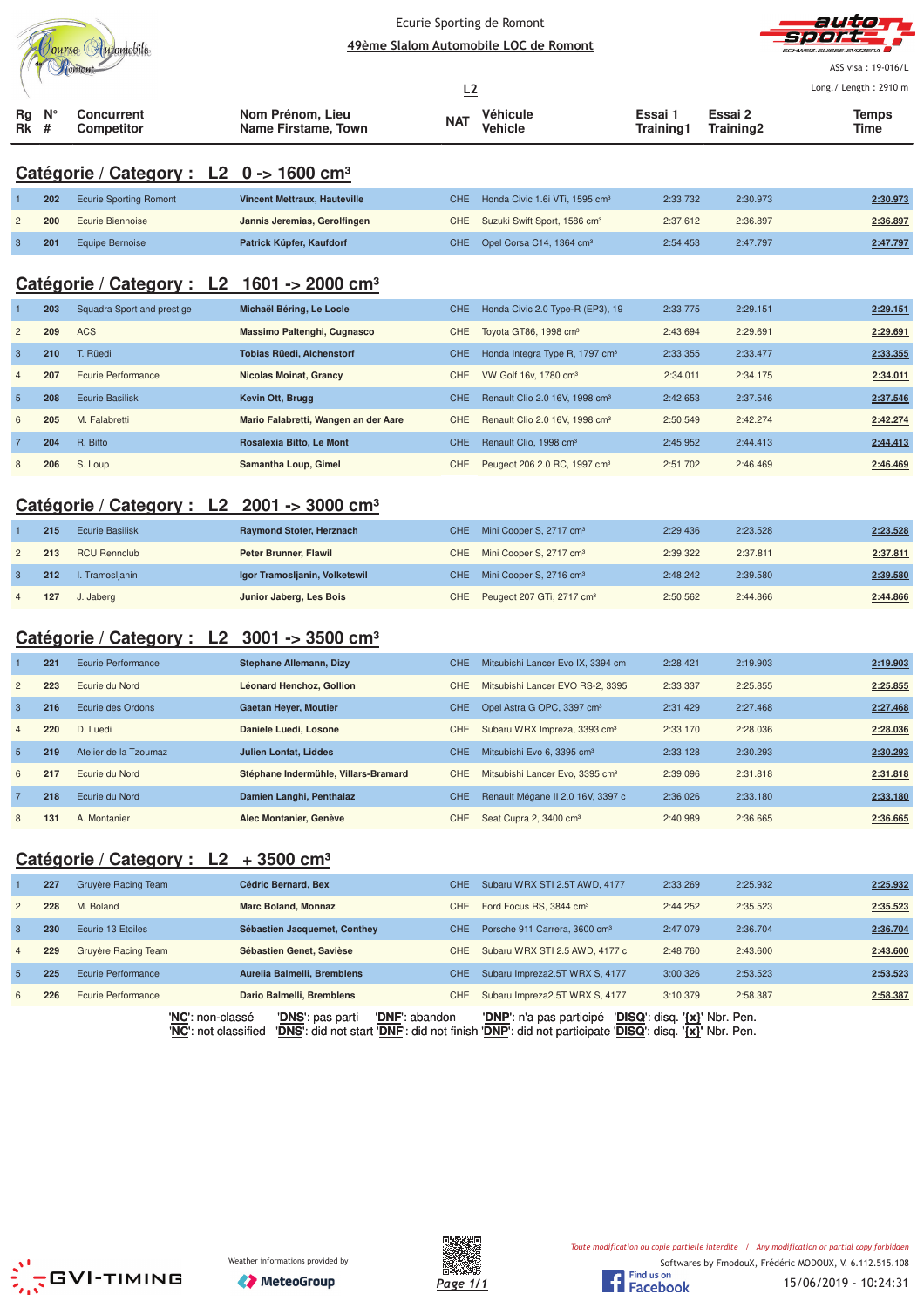|                         |                  |                                                             |                                         |            | Ecurie Sporting de Romont                    |                      |                      | autor                 |
|-------------------------|------------------|-------------------------------------------------------------|-----------------------------------------|------------|----------------------------------------------|----------------------|----------------------|-----------------------|
|                         |                  | Oourse Automobile                                           |                                         |            | 49ème Slalom Automobile LOC de Romont        |                      |                      | JUEIZ SUSSE SVIZZEDA  |
|                         |                  | Tiomont                                                     |                                         |            |                                              |                      |                      | ASS visa: 19-016/L    |
|                         |                  |                                                             |                                         | L2         |                                              |                      |                      | Long./ Length: 2910 m |
| Rg<br>Rk                | $N^{\circ}$<br># | <b>Concurrent</b><br><b>Competitor</b>                      | Nom Prénom, Lieu<br>Name Firstame, Town |            | Véhicule<br>Vehicle                          | Essai 1<br>Training1 | Essai 2<br>Training2 | <b>Temps</b><br>Time  |
|                         |                  | Catégorie / Category : L2 $0 \rightarrow 1600 \text{ cm}^3$ |                                         |            |                                              |                      |                      |                       |
|                         | 202              | <b>Ecurie Sporting Romont</b>                               | <b>Vincent Mettraux, Hauteville</b>     | <b>CHE</b> | Honda Civic 1.6i VTi, 1595 cm <sup>3</sup>   | 2:33.732             | 2:30.973             | 2:30.973              |
| $\overline{c}$          | 200              | Ecurie Biennoise                                            | Jannis Jeremias, Gerolfingen            | CHE        | Suzuki Swift Sport, 1586 cm <sup>3</sup>     | 2:37.612             | 2:36.897             | 2:36.897              |
| 3                       | 201              | <b>Equipe Bernoise</b>                                      | Patrick Küpfer, Kaufdorf                | <b>CHE</b> | Opel Corsa C14, 1364 cm <sup>3</sup>         | 2:54.453             | 2:47.797             | 2:47.797              |
|                         |                  | Catégorie / Category : $L2$ 1601 -> 2000 cm <sup>3</sup>    |                                         |            |                                              |                      |                      |                       |
|                         | 203              | Squadra Sport and prestige                                  | Michaël Béring, Le Locle                | <b>CHE</b> | Honda Civic 2.0 Type-R (EP3), 19             | 2:33.775             | 2:29.151             | 2:29.151              |
| $\overline{c}$          | 209              | <b>ACS</b>                                                  | Massimo Paltenghi, Cugnasco             | CHE        | Toyota GT86, 1998 cm <sup>3</sup>            | 2:43.694             | 2:29.691             | 2:29.691              |
| $\overline{3}$          | 210              | T. Rüedi                                                    | <b>Tobias Rüedi, Alchenstorf</b>        | <b>CHE</b> | Honda Integra Type R, 1797 cm <sup>3</sup>   | 2:33.355             | 2:33.477             | 2:33.355              |
| $\overline{4}$          | 207              | Ecurie Performance                                          | <b>Nicolas Moinat, Grancy</b>           | <b>CHE</b> | VW Golf 16v, 1780 cm <sup>3</sup>            | 2:34.011             | 2:34.175             | 2:34.011              |
| 5                       | 208              | <b>Ecurie Basilisk</b>                                      | Kevin Ott, Brugg                        | <b>CHE</b> | Renault Clio 2.0 16V, 1998 cm <sup>3</sup>   | 2:42.653             | 2:37.546             | 2:37.546              |
| 6                       | 205              | M. Falabretti                                               | Mario Falabretti, Wangen an der Aare    | CHE        | Renault Clio 2.0 16V, 1998 cm <sup>3</sup>   | 2:50.549             | 2:42.274             | 2:42.274              |
| 7                       | 204              | R. Bitto                                                    | Rosalexia Bitto, Le Mont                | <b>CHE</b> | Renault Clio, 1998 cm <sup>3</sup>           | 2:45.952             | 2:44.413             | 2:44.413              |
| 8                       | 206              | S. Loup                                                     | Samantha Loup, Gimel                    | CHE        | Peugeot 206 2.0 RC, 1997 cm <sup>3</sup>     | 2:51.702             | 2:46.469             | 2:46.469              |
|                         |                  |                                                             |                                         |            |                                              |                      |                      |                       |
|                         |                  | Catégorie / Category : L2                                   | $2001 - 3000$ cm <sup>3</sup>           |            |                                              |                      |                      |                       |
|                         | 215              | <b>Ecurie Basilisk</b>                                      | Raymond Stofer, Herznach                | <b>CHE</b> | Mini Cooper S, 2717 cm <sup>3</sup>          | 2:29.436             | 2:23.528             | 2:23.528              |
| $\overline{c}$          | 213              | <b>RCU Rennclub</b>                                         | Peter Brunner, Flawil                   | CHE        | Mini Cooper S, 2717 cm <sup>3</sup>          | 2:39.322             | 2:37.811             | 2:37.811              |
| 3                       | 212              | I. Tramosljanin                                             | Igor Tramosljanin, Volketswil           | <b>CHE</b> | Mini Cooper S, 2716 cm <sup>3</sup>          | 2:48.242             | 2:39.580             | 2:39.580              |
|                         | 127              | J. Jaberg                                                   | Junior Jaberg, Les Bois                 | CHE        | Peugeot 207 GTi, 2717 cm <sup>3</sup>        | 2:50.562             | 2:44.866             | 2:44.866              |
|                         |                  | Catégorie / Category : L2 3001 -> 3500 cm <sup>3</sup>      |                                         |            |                                              |                      |                      |                       |
|                         | 221              | <b>Ecurie Performance</b>                                   | <b>Stephane Allemann, Dizy</b>          | <b>CHE</b> | Mitsubishi Lancer Evo IX, 3394 cm            | 2:28.421             | 2:19.903             | 2:19.903              |
| $\overline{c}$          | 223              | Ecurie du Nord                                              | Léonard Henchoz, Gollion                | <b>CHE</b> | Mitsubishi Lancer EVO RS-2, 3395             | 2:33.337             | 2:25.855             | 2:25.855              |
| 3                       | 216              | Ecurie des Ordons                                           | <b>Gaetan Heyer, Moutier</b>            |            | CHE Opel Astra G OPC, 3397 cm <sup>3</sup>   | 2:31.429             | 2:27.468             | 2:27.468              |
| $\overline{4}$          | 220              | D. Luedi                                                    | Daniele Luedi, Losone                   |            | CHE Subaru WRX Impreza, 3393 cm <sup>3</sup> | 2:33.170             | 2:28.036             | 2:28.036              |
| $\overline{5}$          | 219              | Atelier de la Tzoumaz                                       | <b>Julien Lonfat, Liddes</b>            | <b>CHE</b> | Mitsubishi Evo 6, 3395 cm <sup>3</sup>       | 2:33.128             | 2:30.293             | 2:30.293              |
| 6                       | 217              | Ecurie du Nord                                              | Stéphane Indermühle, Villars-Bramard    | CHE        | Mitsubishi Lancer Evo, 3395 cm <sup>3</sup>  | 2:39.096             | 2:31.818             | 2:31.818              |
| 7                       | 218              | Ecurie du Nord                                              | Damien Langhi, Penthalaz                | <b>CHE</b> | Renault Mégane II 2.0 16V, 3397 c            | 2:36.026             | 2:33.180             | 2:33.180              |
| 8                       | 131              | A. Montanier                                                | Alec Montanier, Genève                  | CHE        | Seat Cupra 2, 3400 cm <sup>3</sup>           | 2:40.989             | 2:36.665             | 2:36.665              |
|                         |                  | Catégorie / Category : $L2 + 3500$ cm <sup>3</sup>          |                                         |            |                                              |                      |                      |                       |
|                         | 227              | Gruyère Racing Team                                         | Cédric Bernard, Bex                     | <b>CHE</b> | Subaru WRX STI 2.5T AWD, 4177                | 2:33.269             | 2:25.932             | 2:25.932              |
| $\overline{\mathbf{c}}$ | 228              | M. Boland                                                   | <b>Marc Boland, Monnaz</b>              | CHE        | Ford Focus RS, 3844 cm <sup>3</sup>          | 2:44.252             | 2:35.523             | 2:35.523              |
| $\mathbf{3}$            | 230              | Ecurie 13 Etoiles                                           | Sébastien Jacquemet, Conthey            | <b>CHE</b> | Porsche 911 Carrera, 3600 cm <sup>3</sup>    | 2:47.079             | 2:36.704             | 2:36.704              |
| 4                       | 229              | Gruyère Racing Team                                         | Sébastien Genet, Savièse                | CHE        | Subaru WRX STI 2.5 AWD, 4177 c               | 2:48.760             | 2:43.600             | 2:43.600              |
| .5                      | 225              | Ecurie Performance                                          | Aurelia Balmelli, Bremblens             | CHE.       | Subaru Impreza2.5T WRX S, 4177               | 3:00.326             | 2:53.523             | 2:53.523              |





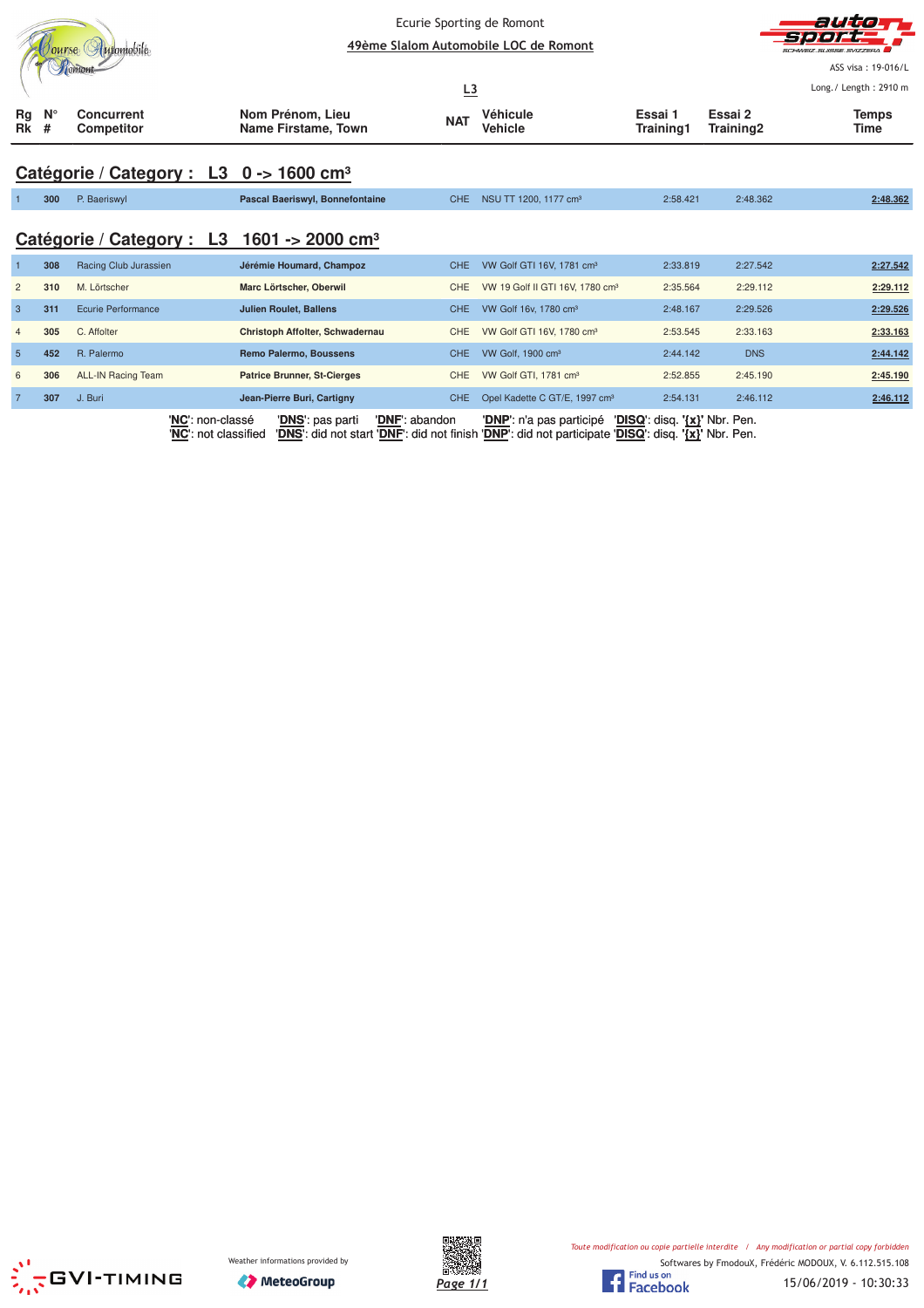|                | ourse Hutomobile<br>Готонь |                                                     | Ecurie Sporting de Romont<br>49ème Slalom Automobile LOC de Romont |                  | autio<br>51 e j<br>.<br>SCHWEIZ SLIBSE SVIZZERA<br>ASS visa: 19-016/L<br>Long./ Length: 2910 m |                               |                      |               |
|----------------|----------------------------|-----------------------------------------------------|--------------------------------------------------------------------|------------------|------------------------------------------------------------------------------------------------|-------------------------------|----------------------|---------------|
| Rg<br>Rk       | $N^{\circ}$<br>#           | <b>Concurrent</b><br><b>Competitor</b>              | Nom Prénom, Lieu<br>Name Firstame, Town                            | L3<br><b>NAT</b> | Véhicule<br>Vehicle                                                                            | Essai 1<br>Training1          | Essai 2<br>Training2 | Temps<br>Time |
|                |                            | Catégorie / Category : L3 0 -> 1600 cm <sup>3</sup> |                                                                    |                  |                                                                                                |                               |                      |               |
|                | 300                        | P. Baeriswyl                                        | Pascal Baeriswyl, Bonnefontaine                                    | <b>CHE</b>       | NSU TT 1200, 1177 cm <sup>3</sup>                                                              | 2:58.421                      | 2:48.362             | 2:48.362      |
|                |                            | Catégorie / Category : L3                           | 1601 -> 2000 cm <sup>3</sup>                                       |                  |                                                                                                |                               |                      |               |
|                | 308                        | Racing Club Jurassien                               | Jérémie Houmard, Champoz                                           | <b>CHE</b>       | VW Golf GTI 16V, 1781 cm <sup>3</sup>                                                          | 2:33.819                      | 2:27.542             | 2:27.542      |
| $\overline{c}$ | 310                        | M. Lörtscher                                        | Marc Lörtscher, Oberwil                                            | <b>CHE</b>       | VW 19 Golf II GTI 16V, 1780 cm <sup>3</sup>                                                    | 2:35.564                      | 2:29.112             | 2:29.112      |
| $\mathbf{3}$   | 311                        | Ecurie Performance                                  | <b>Julien Roulet, Ballens</b>                                      | CHE.             | VW Golf 16v, 1780 cm <sup>3</sup>                                                              | 2:48.167                      | 2:29.526             | 2:29.526      |
| $\overline{4}$ | 305                        | C. Affolter                                         | Christoph Affolter, Schwadernau                                    | <b>CHE</b>       | VW Golf GTI 16V, 1780 cm <sup>3</sup>                                                          | 2:53.545                      | 2:33.163             | 2:33.163      |
| $5\phantom{1}$ | 452                        | R. Palermo                                          | <b>Remo Palermo, Boussens</b>                                      | <b>CHE</b>       | VW Golf, 1900 cm <sup>3</sup>                                                                  | 2:44.142                      | <b>DNS</b>           | 2:44.142      |
| 6              | 306                        | <b>ALL-IN Racing Team</b>                           | <b>Patrice Brunner, St-Cierges</b>                                 | <b>CHE</b>       | VW Golf GTI, 1781 cm <sup>3</sup>                                                              | 2:52.855                      | 2:45.190             | 2:45.190      |
| $\overline{7}$ | 307                        | J. Buri                                             | Jean-Pierre Buri, Cartigny                                         | <b>CHE</b>       | Opel Kadette C GT/E, 1997 cm <sup>3</sup>                                                      | 2:54.131                      | 2:46.112             | 2:46.112      |
|                |                            | 'NC': non-classé                                    | 'DNF': abandon<br>'DNS': pas parti                                 |                  | ' <b>DNP</b> ': n'a pas participé                                                              | 'DISQ': disq. '{x}' Nbr. Pen. |                      |               |





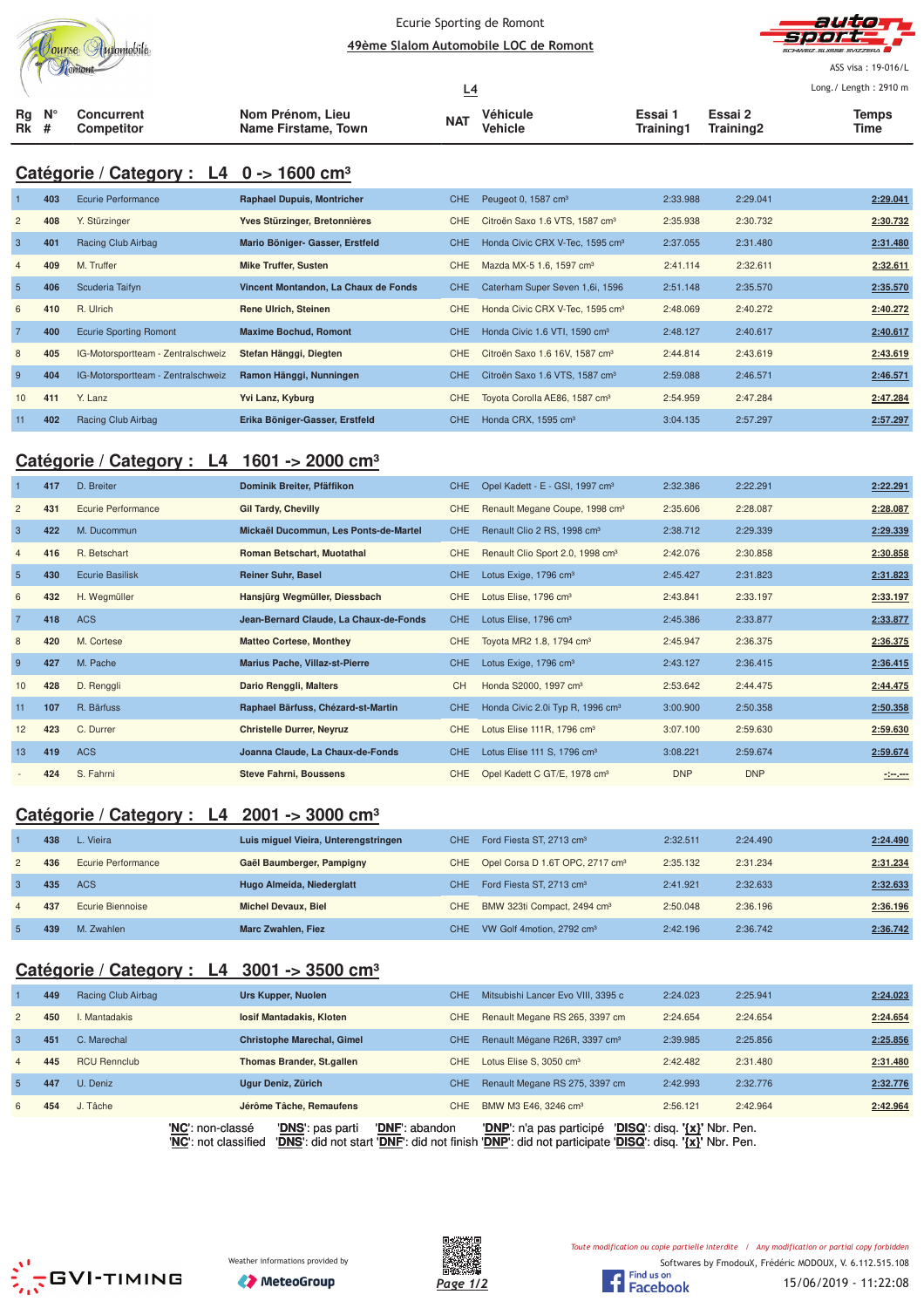|    | ourse | Automobile<br>omont |
|----|-------|---------------------|
| Ra |       | Concurrent          |

#### Ecurie Sporting de Romont 49ème Slalom Automobile LOC de Romont



ASS visa: 19-016/L Lo ng./ Length: 2910 m

|             |  |                                        |                                         |            |                     |                     | Long./ Length: 2910 m            |               |
|-------------|--|----------------------------------------|-----------------------------------------|------------|---------------------|---------------------|----------------------------------|---------------|
| Ra N°<br>Rk |  | <b>Concurrent</b><br><b>Competitor</b> | Nom Prénom, Lieu<br>Name Firstame, Town | <b>NAT</b> | Véhicule<br>Vehicle | Essai∵<br>Training1 | Essai 2<br>Training <sub>2</sub> | Temps<br>Time |

# **Catégorie / Category : L4 0 -> 1600 cm³**

|                 | 403 | Ecurie Performance                 | <b>Raphael Dupuis, Montricher</b>    | <b>CHE</b> | Peugeot 0, 1587 cm <sup>3</sup>             | 2:33.988 | 2:29.041 | 2:29.041 |
|-----------------|-----|------------------------------------|--------------------------------------|------------|---------------------------------------------|----------|----------|----------|
| $\overline{2}$  | 408 | Y. Stürzinger                      | Yves Stürzinger, Bretonnières        | CHE.       | Citroën Saxo 1.6 VTS, 1587 cm <sup>3</sup>  | 2:35.938 | 2:30.732 | 2:30.732 |
| 3               | 401 | Racing Club Airbag                 | Mario Böniger- Gasser, Erstfeld      | CHE.       | Honda Civic CRX V-Tec, 1595 cm <sup>3</sup> | 2:37.055 | 2:31.480 | 2:31.480 |
| $\overline{4}$  | 409 | M. Truffer                         | <b>Mike Truffer, Susten</b>          | CHE.       | Mazda MX-5 1.6, 1597 cm <sup>3</sup>        | 2:41.114 | 2:32.611 | 2:32.611 |
| $5\overline{5}$ | 406 | Scuderia Taifyn                    | Vincent Montandon, La Chaux de Fonds | <b>CHE</b> | Caterham Super Seven 1,6i, 1596             | 2:51.148 | 2:35.570 | 2:35.570 |
| 6               | 410 | R. Ulrich                          | Rene Ulrich, Steinen                 | CHE.       | Honda Civic CRX V-Tec, 1595 cm <sup>3</sup> | 2:48.069 | 2:40.272 | 2:40.272 |
| 7               | 400 | <b>Ecurie Sporting Romont</b>      | <b>Maxime Bochud, Romont</b>         | CHE.       | Honda Civic 1.6 VTI, 1590 cm <sup>3</sup>   | 2:48.127 | 2:40.617 | 2:40.617 |
| 8               | 405 | IG-Motorsportteam - Zentralschweiz | Stefan Hänggi, Diegten               | <b>CHE</b> | Citroën Saxo 1.6 16V, 1587 cm <sup>3</sup>  | 2:44.814 | 2:43.619 | 2:43.619 |
| -9              | 404 | IG-Motorsportteam - Zentralschweiz | Ramon Hänggi, Nunningen              | CHE.       | Citroën Saxo 1.6 VTS, 1587 cm <sup>3</sup>  | 2:59.088 | 2:46.571 | 2:46.571 |
| 10              | 411 | Y. Lanz                            | Yvi Lanz, Kyburg                     | CHE.       | Toyota Corolla AE86, 1587 cm <sup>3</sup>   | 2:54.959 | 2:47.284 | 2:47.284 |
| 11              | 402 | Racing Club Airbag                 | Erika Böniger-Gasser, Erstfeld       | CHE.       | Honda CRX, 1595 cm <sup>3</sup>             | 3:04.135 | 2:57.297 | 2:57.297 |

#### **Catégorie / Category : L4 1601 -> 2000 cm³**

|                | 417 | D. Breiter         | Dominik Breiter, Pfäffikon             | CHE        | Opel Kadett - E - GSI, 1997 cm <sup>3</sup>  | 2:32.386   | 2:22.291   | 2:22.291 |
|----------------|-----|--------------------|----------------------------------------|------------|----------------------------------------------|------------|------------|----------|
| $\overline{2}$ | 431 | Ecurie Performance | <b>Gil Tardy, Chevilly</b>             | <b>CHE</b> | Renault Megane Coupe, 1998 cm <sup>3</sup>   | 2:35.606   | 2:28.087   | 2:28.087 |
| $\mathbf{3}$   | 422 | M. Ducommun        | Mickaël Ducommun, Les Ponts-de-Martel  | CHE.       | Renault Clio 2 RS, 1998 cm <sup>3</sup>      | 2:38.712   | 2:29.339   | 2:29.339 |
| $\overline{4}$ | 416 | R. Betschart       | <b>Roman Betschart, Muotathal</b>      | CHE.       | Renault Clio Sport 2.0, 1998 cm <sup>3</sup> | 2:42.076   | 2:30.858   | 2:30.858 |
| 5              | 430 | Ecurie Basilisk    | <b>Reiner Suhr, Basel</b>              | CHE.       | Lotus Exige, 1796 cm <sup>3</sup>            | 2:45.427   | 2:31.823   | 2:31.823 |
| 6              | 432 | H. Wegmüller       | Hansjürg Wegmüller, Diessbach          | CHE.       | Lotus Elise, 1796 cm <sup>3</sup>            | 2:43.841   | 2:33.197   | 2:33.197 |
|                | 418 | <b>ACS</b>         | Jean-Bernard Claude, La Chaux-de-Fonds | CHE.       | Lotus Elise, 1796 cm <sup>3</sup>            | 2:45.386   | 2:33.877   | 2:33.877 |
| 8              | 420 | M. Cortese         | <b>Matteo Cortese, Monthey</b>         | CHE.       | Toyota MR2 1.8, 1794 cm <sup>3</sup>         | 2:45.947   | 2:36.375   | 2:36.375 |
| 9              | 427 | M. Pache           | <b>Marius Pache, Villaz-st-Pierre</b>  | CHE.       | Lotus Exige, 1796 cm <sup>3</sup>            | 2:43.127   | 2:36.415   | 2:36.415 |
| 10             | 428 | D. Renggli         | Dario Renggli, Malters                 | <b>CH</b>  | Honda S2000, 1997 cm <sup>3</sup>            | 2:53.642   | 2:44.475   | 2:44.475 |
| 11             | 107 | R. Bärfuss         | Raphael Bärfuss, Chézard-st-Martin     | CHE.       | Honda Civic 2.0i Typ R, 1996 cm <sup>3</sup> | 3:00.900   | 2:50.358   | 2:50.358 |
| 12             | 423 | C. Durrer          | <b>Christelle Durrer, Neyruz</b>       | CHE.       | Lotus Elise 111R, 1796 cm <sup>3</sup>       | 3:07.100   | 2:59.630   | 2:59.630 |
| 13             | 419 | <b>ACS</b>         | Joanna Claude, La Chaux-de-Fonds       | CHE.       | Lotus Elise 111 S, 1796 cm <sup>3</sup>      | 3:08.221   | 2:59.674   | 2:59.674 |
|                | 424 | S. Fahrni          | <b>Steve Fahrni, Boussens</b>          | CHE.       | Opel Kadett C GT/E, 1978 cm <sup>3</sup>     | <b>DNP</b> | <b>DNP</b> | $-200$   |

# **Catégorie / Category : L4 2001 -> 3000 cm³**

|                | 438 | L. Vieira          | Luis miquel Vieira, Unterengstringen | CHE. | Ford Fiesta ST, 2713 cm <sup>3</sup>            | 2:32.511 | 2:24.490 | 2:24.490 |
|----------------|-----|--------------------|--------------------------------------|------|-------------------------------------------------|----------|----------|----------|
| $\mathbf{2}$   | 436 | Ecurie Performance | Gaël Baumberger, Pampigny            |      | CHE Opel Corsa D 1.6T OPC, 2717 cm <sup>3</sup> | 2:35.132 | 2:31.234 | 2:31.234 |
|                | 435 | ACS                | Hugo Almeida, Niederglatt            | CHE. | Ford Fiesta ST, 2713 cm <sup>3</sup>            | 2:41.921 | 2:32.633 | 2:32.633 |
| $\overline{4}$ | 437 | Ecurie Biennoise   | <b>Michel Devaux, Biel</b>           | CHE. | BMW 323ti Compact, 2494 cm <sup>3</sup>         | 2:50.048 | 2:36.196 | 2:36.196 |
|                | 439 | M. Zwahlen         | <b>Marc Zwahlen, Fiez</b>            | CHE. | VW Golf 4motion, 2792 cm <sup>3</sup>           | 2:42.196 | 2:36.742 | 2:36.742 |

## **Catégorie / Category : L4 3001 -> 3500 cm³**

|                | 449 | Racing Club Airbag  |                  | Urs Kupper, Nuolen                | <b>CHE</b>     | Mitsubishi Lancer Evo VIII, 3395 c        | 2:24.023                      | 2:25.941 | 2:24.023 |
|----------------|-----|---------------------|------------------|-----------------------------------|----------------|-------------------------------------------|-------------------------------|----------|----------|
| $\overline{2}$ | 450 | . Mantadakis        |                  | losif Mantadakis, Kloten          | CHE            | Renault Megane RS 265, 3397 cm            | 2:24.654                      | 2:24.654 | 2:24.654 |
| 3              | 451 | C. Marechal         |                  | <b>Christophe Marechal, Gimel</b> | <b>CHE</b>     | Renault Mégane R26R, 3397 cm <sup>3</sup> | 2:39.985                      | 2:25.856 | 2:25.856 |
| $\overline{4}$ | 445 | <b>RCU Rennclub</b> |                  | Thomas Brander, St.gallen         | CHE            | Lotus Elise S. 3050 cm <sup>3</sup>       | 2:42.482                      | 2:31.480 | 2:31.480 |
| 5.             | 447 | U. Deniz            |                  | Ugur Deniz, Zürich                | CHE            | Renault Megane RS 275, 3397 cm            | 2:42.993                      | 2:32.776 | 2:32.776 |
| 6              | 454 | J. Tâche            |                  | Jérôme Tâche, Remaufens           | CHE            | BMW M3 E46, 3246 cm <sup>3</sup>          | 2:56.121                      | 2:42.964 | 2:42.964 |
|                |     |                     | 'NC': non-classé | 'DNS': pas parti                  | 'DNF': abandon | 'DNP': n'a pas participé                  | 'DISQ': disg. '{x}' Nbr. Pen. |          |          |

'**NC**': not classified '**DNS**': did not start '**DNF**': did not finish '**DNP**': did not participate '**DISQ**': disq. **'{x}'** Nbr. Pen.







Toute modification ou copie partielle interdite / Any modification or partial copy forbidden

Softwares by FmodouX, Frédéric MODOUX, V. 6.112.515.108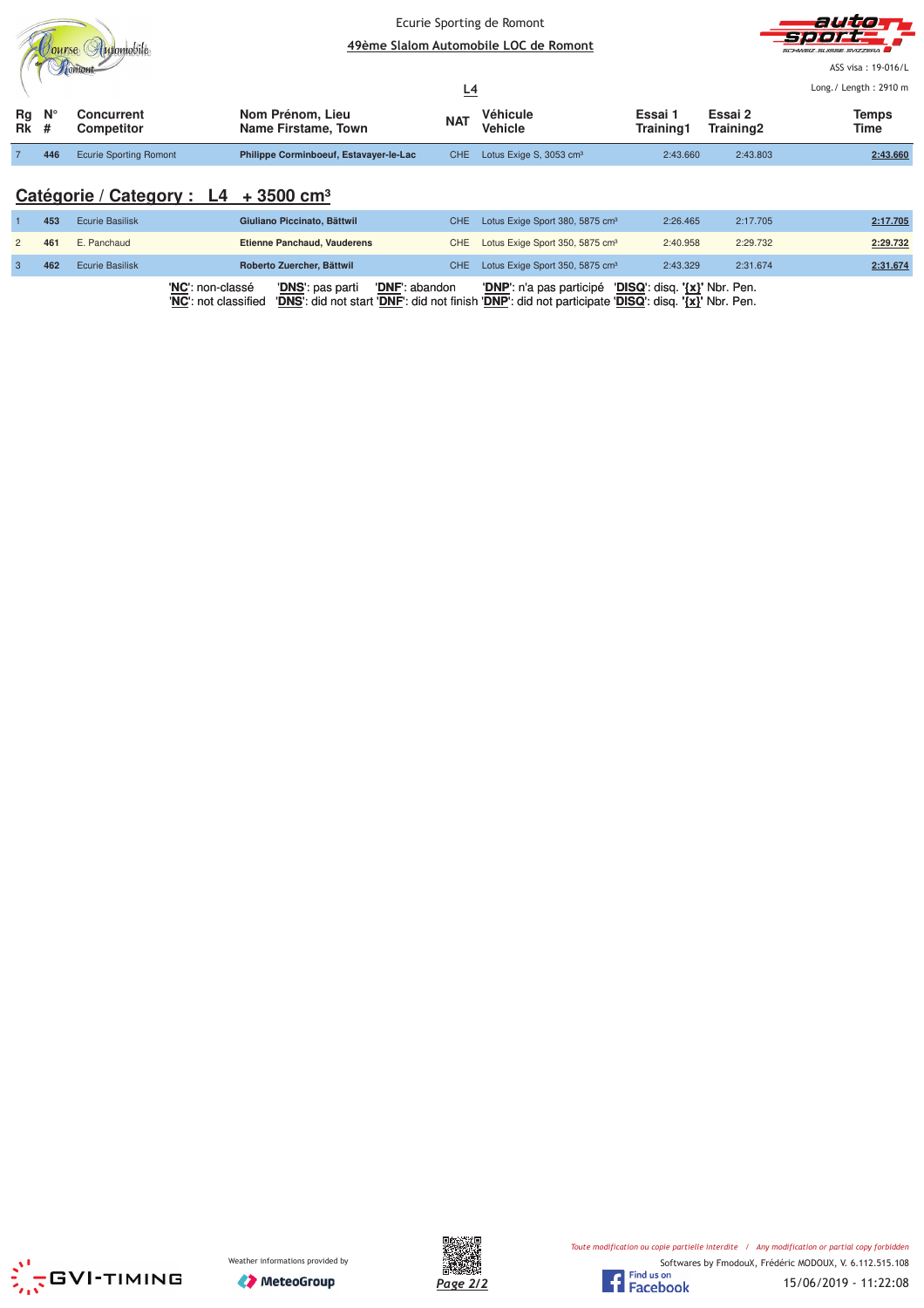|                                 |     |                                 |                                         | <u>L4</u>  | Ecurie Sporting de Romont<br>49ème Slalom Automobile LOC de Romont | auto<br>-Sjerer <del>- F</del><br>SCHWEIZ SUISSE SVIZZERA<br>ASS visa: 19-016/L<br>Long./ Length: 2910 m |                      |                      |  |
|---------------------------------|-----|---------------------------------|-----------------------------------------|------------|--------------------------------------------------------------------|----------------------------------------------------------------------------------------------------------|----------------------|----------------------|--|
| $Rg$ $N^{\circ}$<br><b>Rk</b> # |     | Concurrent<br><b>Competitor</b> | Nom Prénom, Lieu<br>Name Firstame, Town | <b>NAT</b> | Véhicule<br><b>Vehicle</b>                                         | Essai 1<br>Training1                                                                                     | Essai 2<br>Training2 | <b>Temps</b><br>Time |  |
|                                 | 446 | <b>Ecurie Sporting Romont</b>   | Philippe Corminboeuf, Estavayer-le-Lac  | CHE.       | Lotus Exige S, 3053 cm <sup>3</sup>                                | 2:43.660                                                                                                 | 2:43.803             | 2:43.660             |  |

# **Catégorie / Category : L4 + 3500 cm³**

|     |                        | 'NC': non-classé<br>' <u>DNS</u> ': pas parti | 'DNF': abandon | 'DNP': n'a pas participé 'DISQ': disq. '{x}' Nbr. Pen. |          |          |          |
|-----|------------------------|-----------------------------------------------|----------------|--------------------------------------------------------|----------|----------|----------|
| 462 | <b>Ecurie Basilisk</b> | Roberto Zuercher, Bättwil                     |                | CHE Lotus Exige Sport 350, 5875 cm <sup>3</sup>        | 2:43.329 | 2:31.674 | 2:31.674 |
| 461 | E. Panchaud            | <b>Etienne Panchaud, Vauderens</b>            |                | CHE Lotus Exige Sport 350, 5875 cm <sup>3</sup>        | 2:40.958 | 2:29.732 | 2:29.732 |
| 453 | Ecurie Basilisk        | Giuliano Piccinato, Bättwil                   |                | CHE Lotus Exige Sport 380, 5875 cm <sup>3</sup>        | 2:26.465 | 2:17.705 | 2:17.705 |